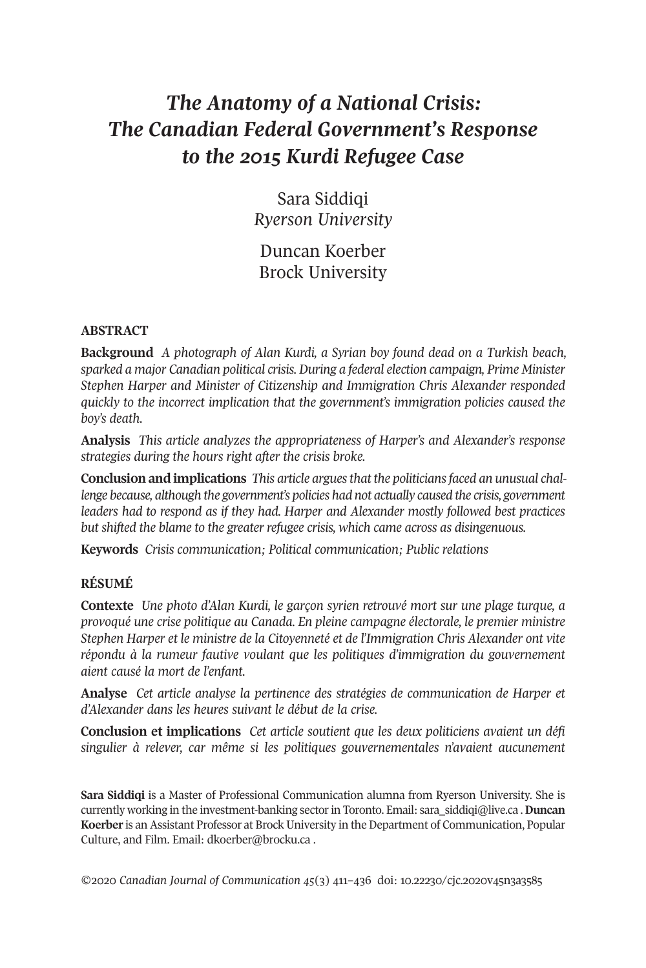# *The Anatomy of a National Crisis: The Canadian Federal Government's Response to the 2015 Kurdi Refugee Case*

Sara Siddiqi *Ryerson University*

Duncan Koerber Brock University

#### **ABSTRACT**

**Background** *A photograph of Alan Kurdi, a Syrian boy found dead on a Turkish beach, sparked a major Canadian political crisis. During a federal election campaign, Prime Minister Stephen Harper and Minister of Citizenship and Immigration Chris Alexander responded quickly to the incorrect implication that the government's immigration policies caused the boy's death.*

**Analysis** *This article analyzes the appropriateness of Harper's and Alexander's response strategies during the hours right after the crisis broke.*

**Conclusion and implications** *This article arguesthat the politiciansfaced an unusual challenge because, although the government's policies had not actually caused the crisis, government leaders had to respond as if they had. Harper and Alexander mostly followed best practices but shifted the blame to the greater refugee crisis, which came across as disingenuous.*

**Keywords** *Crisis communication; Political communication; Public relations*

#### **RÉSUMÉ**

**Contexte** *Une photo d'Alan Kurdi, le garçon syrien retrouvé mort sur une plage turque, a provoqué une crise politique au Canada. En pleine campagne électorale, le premier ministre Stephen Harper et le ministre de la Citoyenneté et de l'Immigration Chris Alexander ont vite répondu à la rumeur fautive voulant que les politiques d'immigration du gouvernement aient causé la mort de l'enfant.*

**Analyse** *Cet article analyse la pertinence des stratégies de communication de Harper et d'Alexander dans les heures suivant le début de la crise.*

**Conclusion et implications** *Cet article soutient que les deux politiciens avaient un défi singulier à relever, car même si les politiques gouvernementales n'avaient aucunement*

**Sara Siddiqi** is a Master of Professional Communication alumna from Ryerson University. She is currently working in the investment-banking sectorin Toronto. Email: [sara\\_siddiqi@live.ca](mailto:sara_siddiqi@live.ca) .**Duncan Koerber** is an Assistant Professor at Brock University in the Department of Communication, Popular Culture, and Film. Email: [dkoerber@brocku.ca](mailto:dkoerber@brocku.ca) .

*©*2020 *Canadian Journal of [Communication](http://www.cjc-online.ca) 45*(3) 411–436 doi: [10.22230/cjc.2020v45n3a3585](http://doi.org/10.22230/cjc.2020v45n3a3585)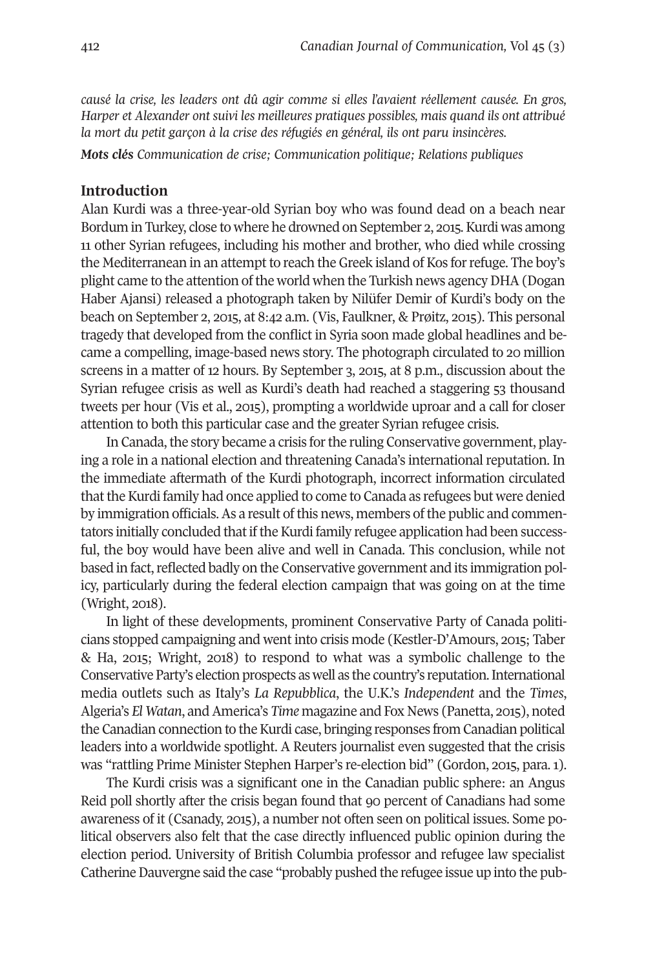*causé la crise, les leaders ont dû agir comme si elles l'avaient réellement causée. En gros, Harper et Alexander ont suivi les meilleures pratiques possibles, mais quand ils ont attribué la mort du petit garçon à la crise des réfugiés en général, ils ont paru insincères.*

*Mots clés Communication de crise; Communication politique; Relations publiques*

#### **Introduction**

Alan Kurdi was a three-year-old Syrian boy who was found dead on a beach near Bordum in Turkey, close to where he drowned on September 2, 2015. Kurdi was among 11 other Syrian refugees, including his mother and brother, who died while crossing the Mediterranean in an attempt to reach the Greek island of Kos for refuge. The boy's plight came to the attention of the world when the Turkish news agency DHA (Dogan Haber Ajansi) released a photograph taken by Nilüfer Demir of Kurdi's body on the beach on September 2, 2015, at 8:42 a.m. (Vis, Faulkner, & Prøitz, 2015). This personal tragedy that developed from the conflict in Syria soon made global headlines and became a compelling, image-based news story. The photograph circulated to 20 million screens in a matter of 12 hours. By September 3, 2015, at 8 p.m., discussion about the Syrian refugee crisis as well as Kurdi's death had reached a staggering 53 thousand tweets per hour (Vis et al., 2015), prompting a worldwide uproar and a call for closer attention to both this particular case and the greater Syrian refugee crisis.

In Canada, the story became a crisis for the ruling Conservative government, playing a role in a national election and threatening Canada's international reputation. In the immediate aftermath of the Kurdi photograph, incorrect information circulated that the Kurdi family had once applied to come to Canada as refugees but were denied by immigration officials. As a result of this news, members of the public and commentators initially concluded that if the Kurdi family refugee application had been successful, the boy would have been alive and well in Canada. This conclusion, while not based in fact, reflected badly on the Conservative government and its immigration policy, particularly during the federal election campaign that was going on at the time (Wright, 2018).

In light of these developments, prominent Conservative Party of Canada politicians stopped campaigning and went into crisis mode (Kestler-D'Amours, 2015; Taber & Ha, 2015; Wright, 2018) to respond to what was a symbolic challenge to the Conservative Party's election prospects as well as the country's reputation.International media outlets such as Italy's *La Repubblica*, the U.K.'s *Independent* and the *Times*, Algeria's *El Watan*, andAmerica's *Time* magazine and Fox News (Panetta, 2015), noted the Canadian connection to the Kurdi case, bringing responses from Canadian political leaders into a worldwide spotlight. A Reuters journalist even suggested that the crisis was "rattling Prime Minister Stephen Harper's re-election bid" (Gordon, 2015, para. 1).

The Kurdi crisis was a significant one in the Canadian public sphere: an Angus Reid poll shortly after the crisis began found that 90 percent of Canadians had some awareness of it (Csanady, 2015), a number not often seen on political issues. Some political observers also felt that the case directly influenced public opinion during the election period. University of British Columbia professor and refugee law specialist Catherine Dauvergne said the case "probably pushed the refugee issue up into the pub-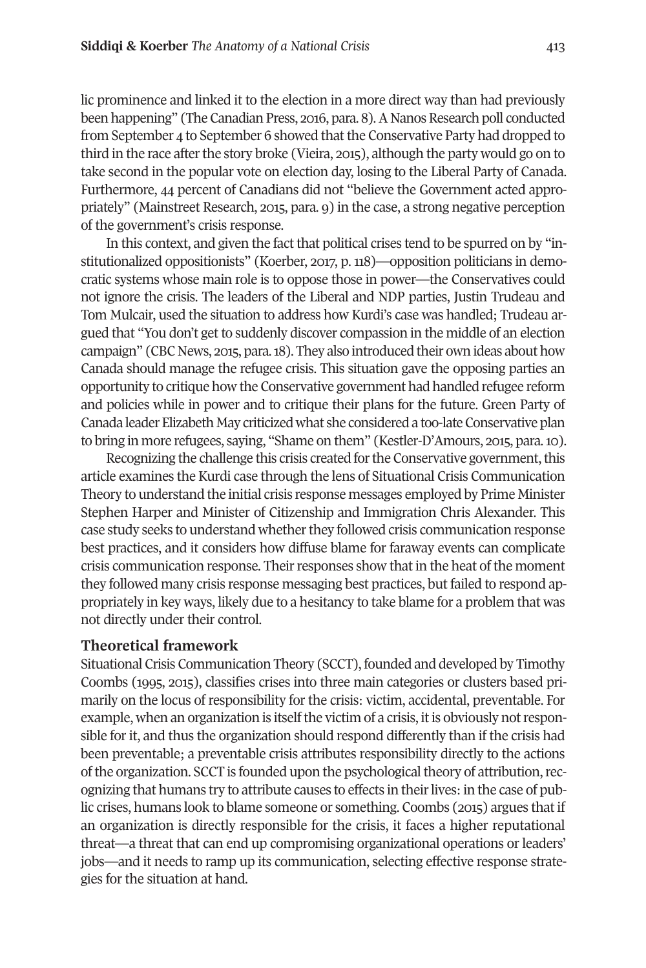lic prominence and linked it to the election in a more direct way than had previously been happening" (The Canadian Press, 2016, para. 8). A Nanos Research poll conducted from September 4 to September 6 showed that the Conservative Party had dropped to third in the race after the story broke (Vieira, 2015), although the party would go on to take second in the popular vote on election day, losing to the Liberal Party of Canada. Furthermore, 44 percent of Canadians did not "believe the Government acted appropriately" (Mainstreet Research, 2015, para. 9) in the case, a strong negative perception of the government's crisis response.

In this context, and given the fact that political crises tend to be spurred on by "institutionalized oppositionists" (Koerber, 2017, p. 118)—opposition politicians in democratic systems whose main role is to oppose those in power—the Conservatives could not ignore the crisis. The leaders of the Liberal and NDP parties, Justin Trudeau and Tom Mulcair, used the situation to address how Kurdi's case was handled; Trudeau argued that "You don't get to suddenly discover compassion in the middle of an election campaign" (CBC News, 2015, para.18). They also introduced their own ideas about how Canada should manage the refugee crisis. This situation gave the opposing parties an opportunity to critique how the Conservative government had handled refugee reform and policies while in power and to critique their plans for the future. Green Party of Canada leader Elizabeth May criticized what she considered a too-late Conservative plan to bring in more refugees, saying, "Shame on them" (Kestler-D'Amours, 2015, para.10).

Recognizing the challenge this crisis created for the Conservative government, this article examines the Kurdi case through the lens of Situational Crisis Communication Theory to understand the initial crisis response messages employed by Prime Minister Stephen Harper and Minister of Citizenship and Immigration Chris Alexander. This case study seeks to understand whether they followed crisis communication response best practices, and it considers how diffuse blame for faraway events can complicate crisis communication response. Theirresponses show that in the heat of the moment they followed many crisis response messaging best practices, but failed to respond appropriately in key ways, likely due to a hesitancy to take blame for a problem that was not directly under their control.

#### **Theoretical framework**

Situational Crisis Communication Theory (SCCT), founded and developed by Timothy Coombs (1995, 2015), classifies crises into three main categories or clusters based primarily on the locus of responsibility for the crisis: victim, accidental, preventable. For example, when an organization is itselfthe victim of a crisis, itis obviously notresponsible for it, and thus the organization should respond differently than if the crisis had been preventable; a preventable crisis attributes responsibility directly to the actions of the organization. SCCT is founded upon the psychological theory of attribution, recognizing that humans try to attribute causes to effects in theirlives: in the case of public crises, humans look to blame someone or something. Coombs (2015) argues that if an organization is directly responsible for the crisis, it faces a higher reputational threat—a threat that can end up compromising organizational operations or leaders' jobs—and it needs to ramp up its communication, selecting effective response strategies for the situation at hand.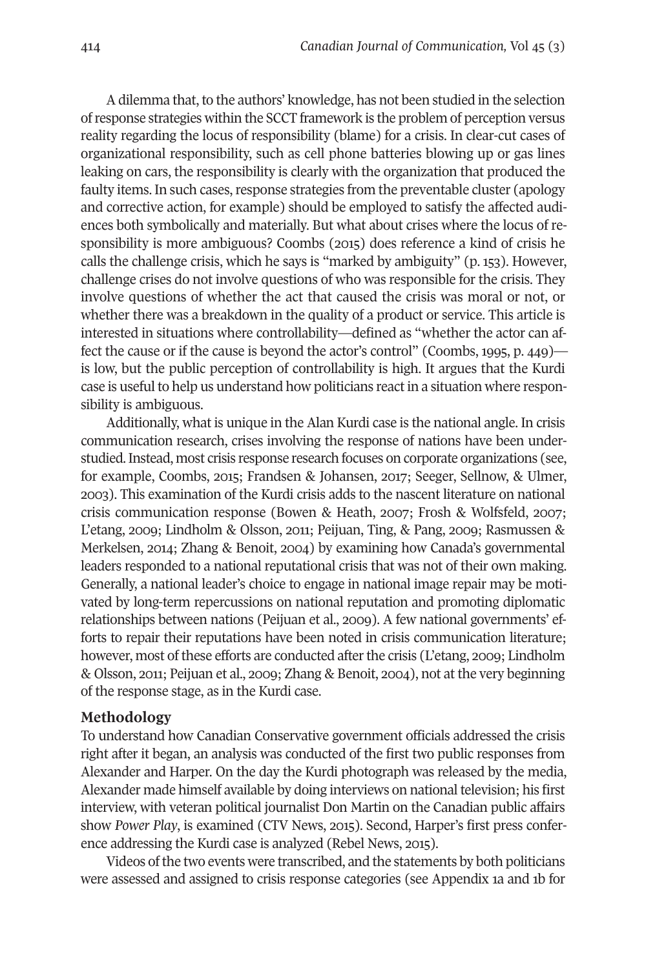A dilemma that, to the authors' knowledge, has not been studied in the selection ofresponse strategies within the SCCT framework is the problem of perception versus reality regarding the locus of responsibility (blame) for a crisis. In clear-cut cases of organizational responsibility, such as cell phone batteries blowing up or gas lines leaking on cars, the responsibility is clearly with the organization that produced the faulty items. In such cases, response strategies from the preventable cluster (apology and corrective action, for example) should be employed to satisfy the affected audiences both symbolically and materially. But what about crises where the locus of responsibility is more ambiguous? Coombs (2015) does reference a kind of crisis he calls the challenge crisis, which he says is "marked by ambiguity" (p. 153). However, challenge crises do not involve questions of who was responsible for the crisis. They involve questions of whether the act that caused the crisis was moral or not, or whether there was a breakdown in the quality of a product or service. This article is interested in situations where controllability—defined as "whether the actor can affect the cause or if the cause is beyond the actor's control" (Coombs, 1995, p. 449) is low, but the public perception of controllability is high. It argues that the Kurdi case is useful to help us understand how politicians react in a situation where responsibility is ambiguous.

Additionally, what is unique in the Alan Kurdi case is the national angle. In crisis communication research, crises involving the response of nations have been understudied.Instead, most crisis response research focuses on corporate organizations (see, for example, Coombs, 2015; Frandsen & Johansen, 2017; Seeger, Sellnow, & Ulmer, 2003). This examination of the Kurdi crisis adds to the nascent literature on national crisis communication response (Bowen & Heath, 2007; Frosh & Wolfsfeld, 2007; L'etang, 2009; Lindholm & Olsson, 2011; Peijuan, Ting, & Pang, 2009; Rasmussen & Merkelsen, 2014; Zhang & Benoit, 2004) by examining how Canada's governmental leaders responded to a national reputational crisis that was not of their own making. Generally, a national leader's choice to engage in national image repair may be motivated by long-term repercussions on national reputation and promoting diplomatic relationships between nations (Peijuan et al., 2009). A few national governments' efforts to repair their reputations have been noted in crisis communication literature; however, most of these efforts are conducted after the crisis (L'etang, 2009; Lindholm & Olsson, 2011; Peijuan et al., 2009; Zhang & Benoit, 2004), not at the very beginning of the response stage, as in the Kurdi case.

#### **Methodology**

To understand how Canadian Conservative government officials addressed the crisis right after it began, an analysis was conducted of the first two public responses from Alexander and Harper. On the day the Kurdi photograph was released by the media, Alexander made himself available by doing interviews on national television; his first interview, with veteran political journalist Don Martin on the Canadian public affairs show *Power Play*, is examined (CTV News, 2015). Second, Harper's first press conference addressing the Kurdi case is analyzed (Rebel News, 2015).

Videos of the two events were transcribed, and the statements by both politicians were assessed and assigned to crisis response categories (see Appendix 1a and 1b for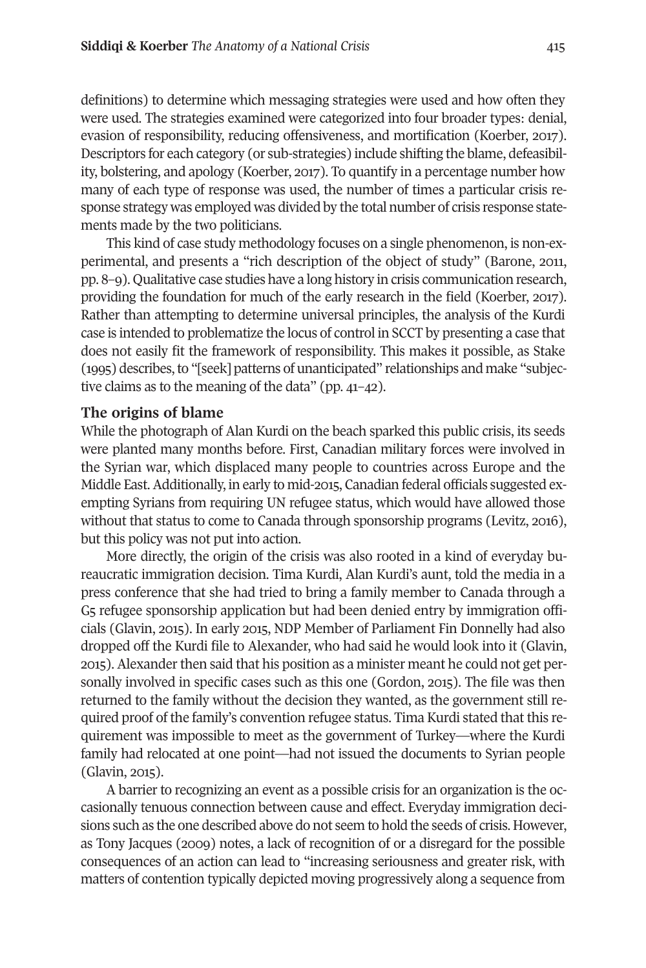definitions) to determine which messaging strategies were used and how often they were used. The strategies examined were categorized into four broader types: denial, evasion of responsibility, reducing offensiveness, and mortification (Koerber, 2017). Descriptors for each category (or sub-strategies) include shifting the blame, defeasibility, bolstering, and apology (Koerber, 2017). To quantify in a percentage number how many of each type of response was used, the number of times a particular crisis response strategy was employed was divided by the total number of crisis response statements made by the two politicians.

This kind of case study methodology focuses on a single phenomenon, is non-experimental, and presents a "rich description of the object of study" (Barone, 2011, pp. 8–9). Qualitative case studies have a long history in crisis communication research, providing the foundation for much of the early research in the field (Koerber, 2017). Rather than attempting to determine universal principles, the analysis of the Kurdi case is intended to problematize the locus of control in SCCT by presenting a case that does not easily fit the framework of responsibility. This makes it possible, as Stake (1995) describes, to "[seek] patterns of unanticipated" relationships and make "subjective claims as to the meaning of the data" (pp. 41–42).

#### **The origins of blame**

While the photograph of Alan Kurdi on the beach sparked this public crisis, its seeds were planted many months before. First, Canadian military forces were involved in the Syrian war, which displaced many people to countries across Europe and the Middle East.Additionally, in early to mid-2015, Canadian federal officials suggested exempting Syrians from requiring UN refugee status, which would have allowed those without that status to come to Canada through sponsorship programs (Levitz, 2016), but this policy was not put into action.

More directly, the origin of the crisis was also rooted in a kind of everyday bureaucratic immigration decision. Tima Kurdi, Alan Kurdi's aunt, told the media in a press conference that she had tried to bring a family member to Canada through a G5 refugee sponsorship application but had been denied entry by immigration officials (Glavin, 2015). In early 2015, NDP Member of Parliament Fin Donnelly had also dropped off the Kurdi file to Alexander, who had said he would look into it (Glavin, 2015). Alexander then said that his position as a minister meant he could not get personally involved in specific cases such as this one (Gordon, 2015). The file was then returned to the family without the decision they wanted, as the government still required proof of the family's convention refugee status. Tima Kurdi stated that this requirement was impossible to meet as the government of Turkey—where the Kurdi family had relocated at one point—had not issued the documents to Syrian people (Glavin, 2015).

A barrier to recognizing an event as a possible crisis for an organization is the occasionally tenuous connection between cause and effect. Everyday immigration decisions such as the one described above do not seem to hold the seeds of crisis. However, as Tony Jacques (2009) notes, a lack of recognition of or a disregard for the possible consequences of an action can lead to "increasing seriousness and greater risk, with matters of contention typically depicted moving progressively along a sequence from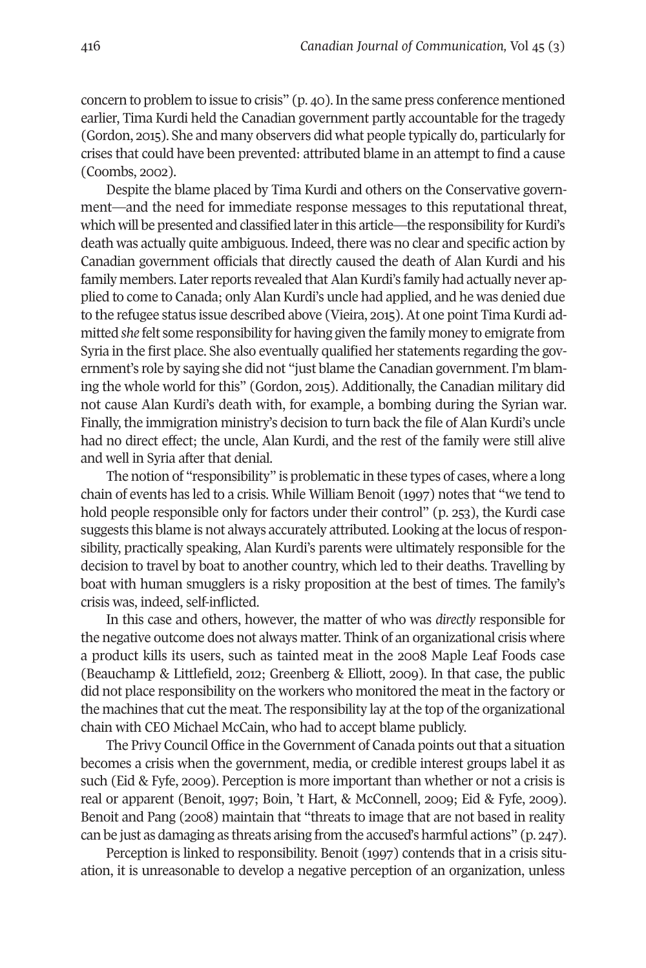concern to problem to issue to crisis" (p. 40).In the same press conference mentioned earlier, Tima Kurdi held the Canadian government partly accountable for the tragedy (Gordon, 2015). She and many observers did what people typically do, particularly for crises that could have been prevented: attributed blame in an attempt to find a cause (Coombs, 2002).

Despite the blame placed by Tima Kurdi and others on the Conservative government—and the need for immediate response messages to this reputational threat, which will be presented and classified later in this article—the responsibility for Kurdi's death was actually quite ambiguous. Indeed, there was no clear and specific action by Canadian government officials that directly caused the death of Alan Kurdi and his family members. Later reports revealed that Alan Kurdi's family had actually never applied to come to Canada; only Alan Kurdi's uncle had applied, and he was denied due to the refugee status issue described above (Vieira, 2015). At one point Tima Kurdi admitted *she* felt some responsibility for having given the family money to emigrate from Syria in the first place. She also eventually qualified her statements regarding the government's role by saying she did not "just blame the Canadian government. I'm blaming the whole world for this" (Gordon, 2015). Additionally, the Canadian military did not cause Alan Kurdi's death with, for example, a bombing during the Syrian war. Finally, the immigration ministry's decision to turn back the file of Alan Kurdi's uncle had no direct effect; the uncle, Alan Kurdi, and the rest of the family were still alive and well in Syria after that denial.

The notion of "responsibility" is problematic in these types of cases, where a long chain of events has led to a crisis. While William Benoit (1997) notes that "we tend to hold people responsible only for factors under their control" (p. 253), the Kurdi case suggests this blame is not always accurately attributed. Looking at the locus of responsibility, practically speaking, Alan Kurdi's parents were ultimately responsible for the decision to travel by boat to another country, which led to their deaths. Travelling by boat with human smugglers is a risky proposition at the best of times. The family's crisis was, indeed, self-inflicted.

In this case and others, however, the matter of who was *directly* responsible for the negative outcome does not always matter. Think of an organizational crisis where a product kills its users, such as tainted meat in the 2008 Maple Leaf Foods case (Beauchamp & Littlefield, 2012; Greenberg & Elliott, 2009). In that case, the public did not place responsibility on the workers who monitored the meat in the factory or the machines that cut the meat. The responsibility lay at the top of the organizational chain with CEO Michael McCain, who had to accept blame publicly.

The Privy Council Office in the Government of Canada points out that a situation becomes a crisis when the government, media, or credible interest groups label it as such (Eid & Fyfe, 2009). Perception is more important than whether or not a crisis is real or apparent (Benoit, 1997; Boin, 't Hart, & McConnell, 2009; Eid & Fyfe, 2009). Benoit and Pang (2008) maintain that "threats to image that are not based in reality can be just as damaging as threats arising from the accused's harmful actions" (p. 247).

Perception is linked to responsibility. Benoit (1997) contends that in a crisis situation, it is unreasonable to develop a negative perception of an organization, unless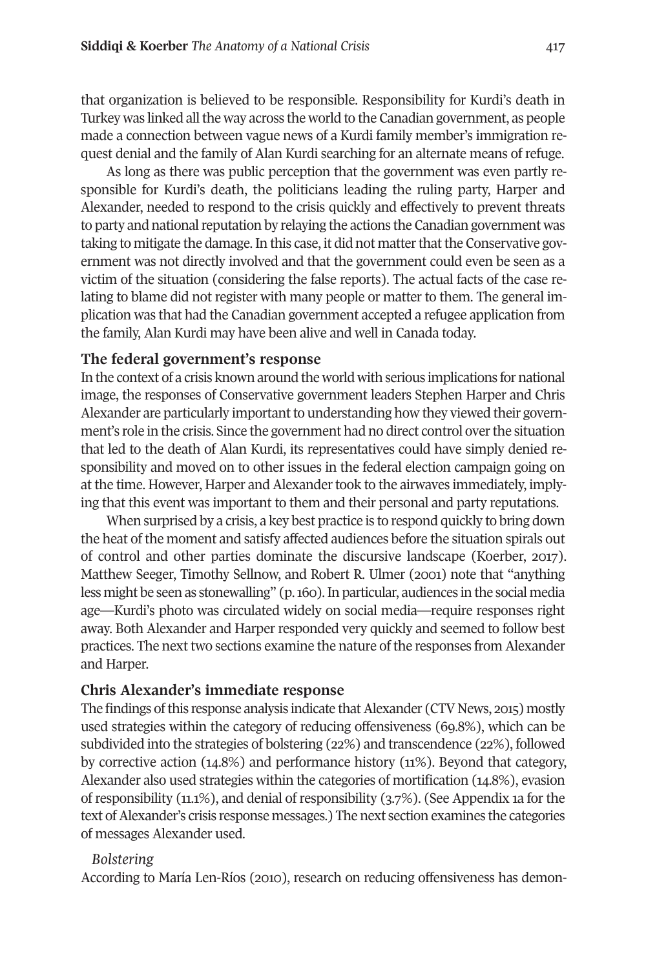that organization is believed to be responsible. Responsibility for Kurdi's death in Turkey was linked all the way across the world to the Canadian government, as people made a connection between vague news of a Kurdi family member's immigration request denial and the family of Alan Kurdi searching for an alternate means of refuge.

As long as there was public perception that the government was even partly responsible for Kurdi's death, the politicians leading the ruling party, Harper and Alexander, needed to respond to the crisis quickly and effectively to prevent threats to party and national reputation by relaying the actions the Canadian government was taking to mitigate the damage. In this case, it did not matter that the Conservative government was not directly involved and that the government could even be seen as a victim of the situation (considering the false reports). The actual facts of the case relating to blame did not register with many people or matter to them. The general implication was that had the Canadian government accepted a refugee application from the family, Alan Kurdi may have been alive and well in Canada today.

#### **The federal government's response**

In the context of a crisis known around the world with serious implications for national image, the responses of Conservative government leaders Stephen Harper and Chris Alexander are particularly important to understanding how they viewed their government's role in the crisis. Since the government had no direct control over the situation that led to the death of Alan Kurdi, its representatives could have simply denied responsibility and moved on to other issues in the federal election campaign going on at the time. However, Harper and Alexander took to the airwaves immediately, implying that this event was important to them and their personal and party reputations.

When surprised by a crisis, a key best practice is to respond quickly to bring down the heat of the moment and satisfy affected audiences before the situation spirals out of control and other parties dominate the discursive landscape (Koerber, 2017). Matthew Seeger, Timothy Sellnow, and Robert R. Ulmer (2001) note that "anything less might be seen as stonewalling" (p. 160). In particular, audiences in the social media age—Kurdi's photo was circulated widely on social media—require responses right away. Both Alexander and Harper responded very quickly and seemed to follow best practices. The next two sections examine the nature of the responses from Alexander and Harper.

#### **Chris Alexander's immediate response**

The findings of this response analysis indicate that Alexander (CTV News, 2015) mostly used strategies within the category of reducing offensiveness (69.8%), which can be subdivided into the strategies of bolstering (22%) and transcendence (22%), followed by corrective action (14.8%) and performance history (11%). Beyond that category, Alexander also used strategies within the categories of mortification (14.8%), evasion of responsibility (11.1%), and denial of responsibility (3.7%). (See Appendix 1a for the text of Alexander's crisis response messages.) The next section examines the categories of messages Alexander used.

#### *Bolstering*

According to María Len-Ríos (2010), research on reducing offensiveness has demon-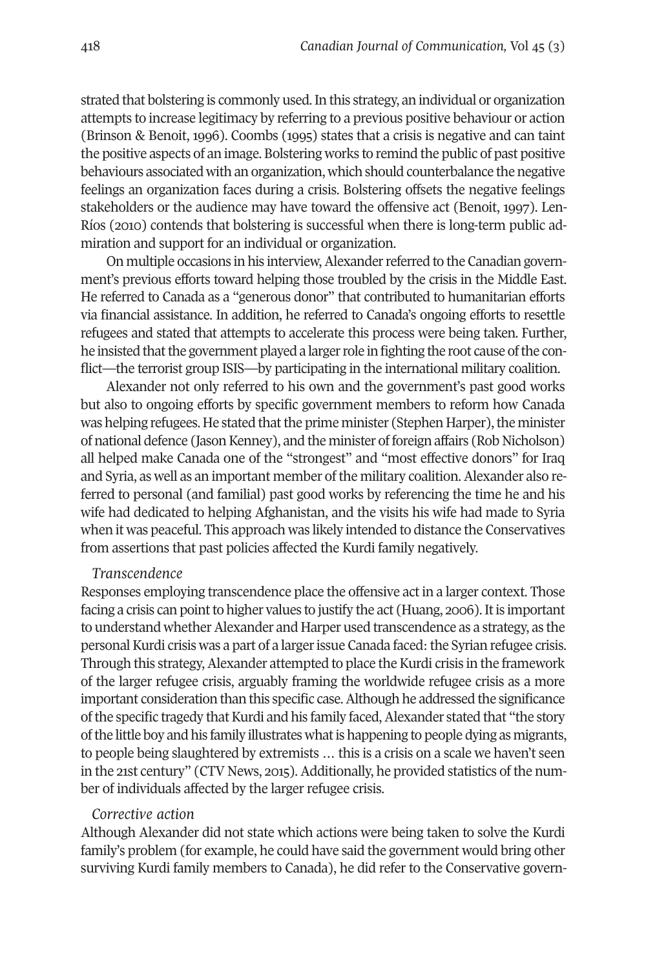strated that bolstering is commonly used.In this strategy, an individual or organization attempts to increase legitimacy by referring to a previous positive behaviour or action (Brinson & Benoit, 1996). Coombs (1995) states that a crisis is negative and can taint the positive aspects of an image. Bolstering works to remind the public of past positive behaviours associated with an organization, which should counterbalance the negative feelings an organization faces during a crisis. Bolstering offsets the negative feelings stakeholders or the audience may have toward the offensive act (Benoit, 1997). Len-Ríos (2010) contends that bolstering is successful when there is long-term public admiration and support for an individual or organization.

On multiple occasions in his interview, Alexander referred to the Canadian government's previous efforts toward helping those troubled by the crisis in the Middle East. He referred to Canada as a "generous donor" that contributed to humanitarian efforts via financial assistance. In addition, he referred to Canada's ongoing efforts to resettle refugees and stated that attempts to accelerate this process were being taken. Further, he insisted that the government played a larger role in fighting the root cause of the conflict**—**the terrorist group ISIS**—**by participating in the international military coalition.

Alexander not only referred to his own and the government's past good works but also to ongoing efforts by specific government members to reform how Canada was helping refugees. He stated that the prime minister (Stephen Harper), the minister of national defence (JasonKenney), and the minister of foreign affairs (Rob Nicholson) all helped make Canada one of the "strongest" and "most effective donors" for Iraq and Syria, as well as an important member of the military coalition. Alexander also referred to personal (and familial) past good works by referencing the time he and his wife had dedicated to helping Afghanistan, and the visits his wife had made to Syria when it was peaceful. This approach was likely intended to distance the Conservatives from assertions that past policies affected the Kurdi family negatively.

#### *Transcendence*

Responses employing transcendence place the offensive act in a larger context. Those facing a crisis can point to higher values to justify the act (Huang, 2006). It is important to understand whether Alexander and Harper used transcendence as a strategy, as the personal Kurdi crisis was a part of a larger issue Canada faced: the Syrian refugee crisis. Through this strategy, Alexander attempted to place the Kurdi crisis in the framework of the larger refugee crisis, arguably framing the worldwide refugee crisis as a more important consideration than this specific case.Although he addressed the significance of the specific tragedy that Kurdi and his family faced, Alexander stated that "the story of the little boy and his family illustrates what is happening to people dying as migrants, to people being slaughtered by extremists … this is a crisis on a scale we haven't seen in the 21st century" (CTV News, 2015). Additionally, he provided statistics of the number of individuals affected by the larger refugee crisis.

#### *Corrective action*

Although Alexander did not state which actions were being taken to solve the Kurdi family's problem (for example, he could have said the government would bring other surviving Kurdi family members to Canada), he did refer to the Conservative govern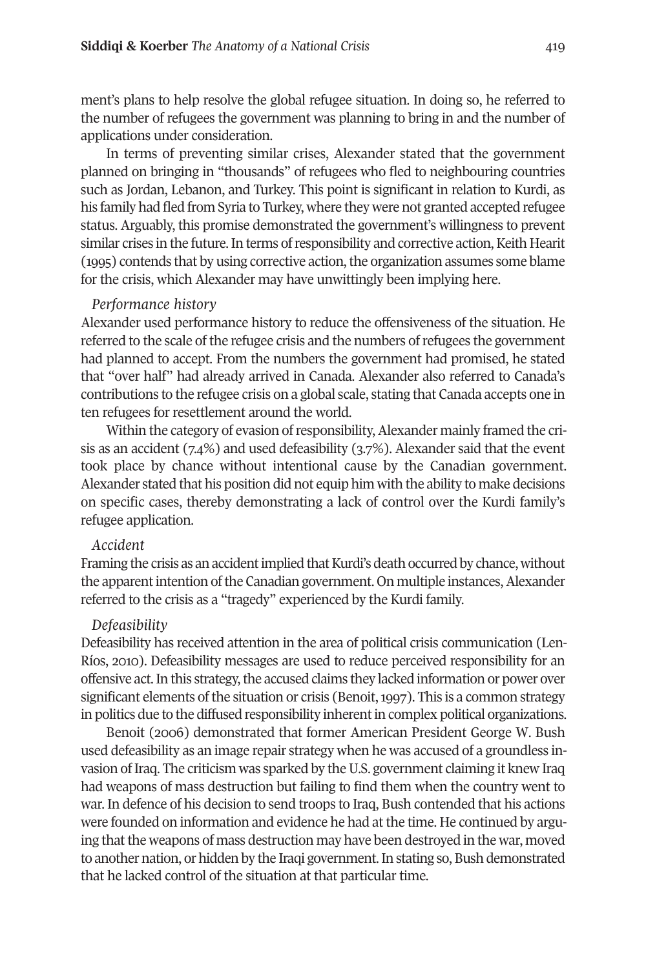ment's plans to help resolve the global refugee situation. In doing so, he referred to the number of refugees the government was planning to bring in and the number of applications under consideration.

In terms of preventing similar crises, Alexander stated that the government planned on bringing in "thousands" of refugees who fled to neighbouring countries such as Jordan, Lebanon, and Turkey. This point is significant in relation to Kurdi, as his family had fled from Syria to Turkey, where they were not granted accepted refugee status. Arguably, this promise demonstrated the government's willingness to prevent similar crises in the future. In terms of responsibility and corrective action, Keith Hearit (1995) contends that by using corrective action,the organization assumes some blame for the crisis, which Alexander may have unwittingly been implying here.

#### *Performance history*

Alexander used performance history to reduce the offensiveness of the situation. He referred to the scale of the refugee crisis and the numbers ofrefugees the government had planned to accept. From the numbers the government had promised, he stated that "over half" had already arrived in Canada. Alexander also referred to Canada's contributions to the refugee crisis on a global scale, stating that Canada accepts one in ten refugees for resettlement around the world.

Within the category of evasion of responsibility, Alexander mainly framed the crisis as an accident (7.4%) and used defeasibility (3.7%). Alexander said that the event took place by chance without intentional cause by the Canadian government. Alexander stated that his position did not equip him with the ability to make decisions on specific cases, thereby demonstrating a lack of control over the Kurdi family's refugee application.

#### *Accident*

Framing the crisis as an accident implied that Kurdi's death occurred by chance, without the apparent intention of the Canadian government. On multiple instances, Alexander referred to the crisis as a "tragedy" experienced by the Kurdi family.

#### *Defeasibility*

Defeasibility has received attention in the area of political crisis communication (Len-Ríos, 2010). Defeasibility messages are used to reduce perceived responsibility for an offensive act. In this strategy, the accused claims they lacked information or power over significant elements of the situation or crisis (Benoit, 1997). This is a common strategy in politics due to the diffused responsibility inherentin complex political organizations.

Benoit (2006) demonstrated that former American President George W. Bush used defeasibility as an image repair strategy when he was accused of a groundless invasion of Iraq. The criticism was sparked by the U.S. government claiming it knew Iraq had weapons of mass destruction but failing to find them when the country went to war. In defence of his decision to send troops to Iraq, Bush contended that his actions were founded on information and evidence he had at the time. He continued by arguing that the weapons of mass destruction may have been destroyed in the war, moved to another nation, or hidden by the Iraqi government.In stating so, Bush demonstrated that he lacked control of the situation at that particular time.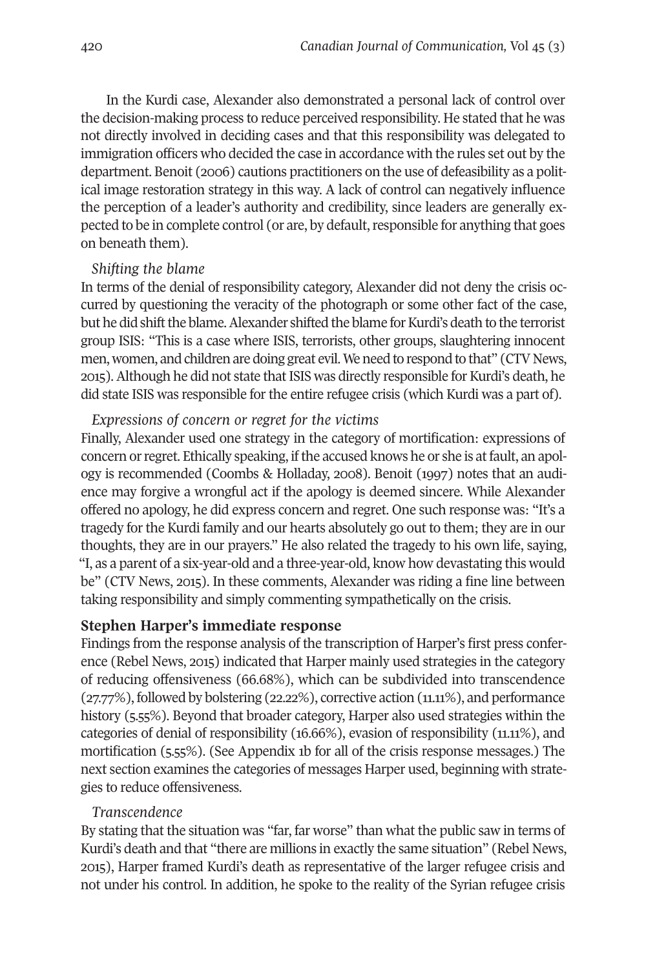In the Kurdi case, Alexander also demonstrated a personal lack of control over the decision-making process to reduce perceived responsibility. He stated that he was not directly involved in deciding cases and that this responsibility was delegated to immigration officers who decided the case in accordance with the rules set out by the department. Benoit (2006) cautions practitioners on the use of defeasibility as a political image restoration strategy in this way. A lack of control can negatively influence the perception of a leader's authority and credibility, since leaders are generally expected to be in complete control (or are, by default, responsible for anything that goes on beneath them).

#### *Shifting the blame*

In terms of the denial of responsibility category, Alexander did not deny the crisis occurred by questioning the veracity of the photograph or some other fact of the case, but he did shift the blame. Alexander shifted the blame for Kurdi's death to the terrorist group ISIS: "This is a case where ISIS, terrorists, other groups, slaughtering innocent men, women, and children are doing great evil.We need to respond to that" (CTV News, 2015).Although he did not state that ISIS was directly responsible for Kurdi's death, he did state ISIS was responsible for the entire refugee crisis (which Kurdi was a part of).

#### *Expressions of concern or regret for the victims*

Finally, Alexander used one strategy in the category of mortification: expressions of concern or regret. Ethically speaking, if the accused knows he or she is at fault, an apology is recommended (Coombs & Holladay, 2008). Benoit (1997) notes that an audience may forgive a wrongful act if the apology is deemed sincere. While Alexander offered no apology, he did express concern and regret. One such response was: "It's a tragedy for the Kurdi family and our hearts absolutely go out to them; they are in our thoughts, they are in our prayers." He also related the tragedy to his own life, saying, "I, as a parent of a six-year-old and a three-year-old, know how devastating this would be" (CTV News, 2015). In these comments, Alexander was riding a fine line between taking responsibility and simply commenting sympathetically on the crisis.

#### **Stephen Harper's immediate response**

Findings from the response analysis of the transcription of Harper's first press conference (Rebel News, 2015) indicated that Harper mainly used strategies in the category of reducing offensiveness (66.68%), which can be subdivided into transcendence (27.77%), followed by bolstering (22.22%), corrective action (11.11%), and performance history (5.55%). Beyond that broader category, Harper also used strategies within the categories of denial of responsibility (16.66%), evasion of responsibility (11.11%), and mortification (5.55%). (See Appendix 1b for all of the crisis response messages.) The next section examines the categories of messages Harper used, beginning with strategies to reduce offensiveness.

#### *Transcendence*

By stating that the situation was "far, far worse" than what the public saw in terms of Kurdi's death and that "there are millions in exactly the same situation" (Rebel News, 2015), Harper framed Kurdi's death as representative of the larger refugee crisis and not under his control. In addition, he spoke to the reality of the Syrian refugee crisis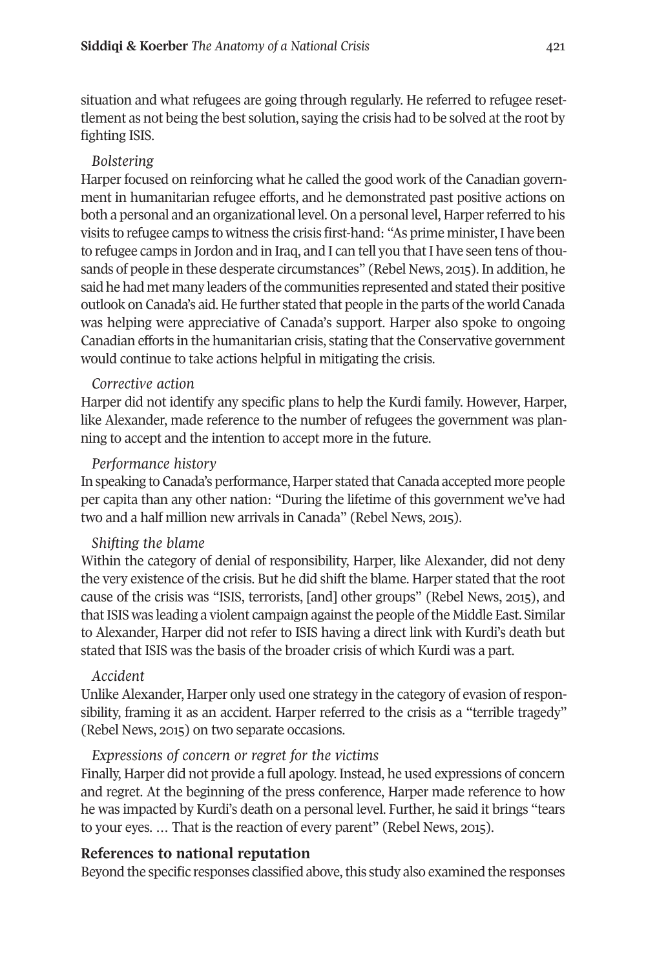situation and what refugees are going through regularly. He referred to refugee resettlement as not being the best solution, saying the crisis had to be solved at the root by fighting ISIS.

# *Bolstering*

Harper focused on reinforcing what he called the good work of the Canadian government in humanitarian refugee efforts, and he demonstrated past positive actions on both a personal and an organizational level. On a personal level, Harperreferred to his visits to refugee camps to witness the crisis first-hand: "As prime minister,I have been to refugee camps in Jordon and in Iraq, and I can tell you that I have seen tens of thousands of people in these desperate circumstances" (Rebel News, 2015). In addition, he said he had met many leaders of the communities represented and stated their positive outlook on Canada's aid. He further stated that people in the parts ofthe world Canada was helping were appreciative of Canada's support. Harper also spoke to ongoing Canadian efforts in the humanitarian crisis, stating that the Conservative government would continue to take actions helpful in mitigating the crisis.

# *Corrective action*

Harper did not identify any specific plans to help the Kurdi family. However, Harper, like Alexander, made reference to the number of refugees the government was planning to accept and the intention to accept more in the future.

### *Performance history*

In speaking to Canada's performance, Harper stated that Canada accepted more people per capita than any other nation: "During the lifetime of this government we've had two and a half million new arrivals in Canada" (Rebel News, 2015).

# *Shifting the blame*

Within the category of denial of responsibility, Harper, like Alexander, did not deny the very existence of the crisis. But he did shift the blame. Harper stated that the root cause of the crisis was "ISIS, terrorists, [and] other groups" (Rebel News, 2015), and that ISIS was leading a violent campaign against the people of the Middle East. Similar to Alexander, Harper did not refer to ISIS having a direct link with Kurdi's death but stated that ISIS was the basis of the broader crisis of which Kurdi was a part.

# *Accident*

Unlike Alexander, Harper only used one strategy in the category of evasion ofresponsibility, framing it as an accident. Harper referred to the crisis as a "terrible tragedy" (Rebel News, 2015) on two separate occasions.

# *Expressions of concern or regret for the victims*

Finally, Harper did not provide a full apology. Instead, he used expressions of concern and regret. At the beginning of the press conference, Harper made reference to how he was impacted by Kurdi's death on a personal level. Further, he said it brings "tears to your eyes. … That is the reaction of every parent" (Rebel News, 2015).

# **References to national reputation**

Beyond the specific responses classified above, this study also examined the responses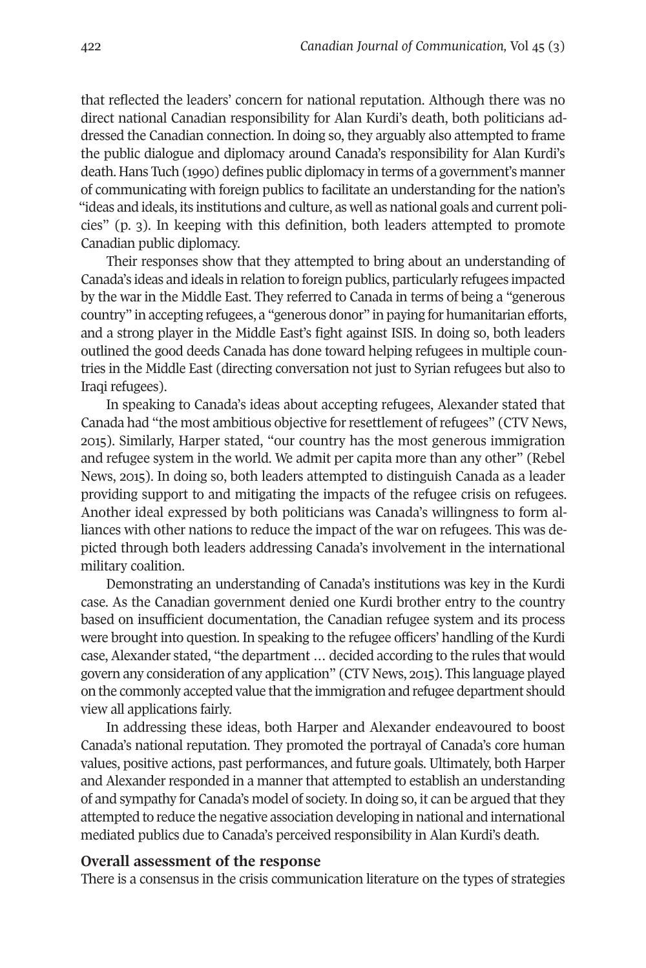that reflected the leaders' concern for national reputation. Although there was no direct national Canadian responsibility for Alan Kurdi's death, both politicians addressed the Canadian connection. In doing so, they arguably also attempted to frame the public dialogue and diplomacy around Canada's responsibility for Alan Kurdi's death. Hans Tuch (1990) defines public diplomacy in terms of a government's manner of communicating with foreign publics to facilitate an understanding for the nation's "ideas and ideals, its institutions and culture, as well as national goals and current policies" (p. 3). In keeping with this definition, both leaders attempted to promote Canadian public diplomacy.

Their responses show that they attempted to bring about an understanding of Canada's ideas and ideals in relation to foreign publics, particularly refugees impacted by the war in the Middle East. They referred to Canada in terms of being a "generous country" in accepting refugees, a "generous donor" in paying for humanitarian efforts, and a strong player in the Middle East's fight against ISIS. In doing so, both leaders outlined the good deeds Canada has done toward helping refugees in multiple countries in the Middle East (directing conversation not just to Syrian refugees but also to Iraqi refugees).

In speaking to Canada's ideas about accepting refugees, Alexander stated that Canada had "the most ambitious objective forresettlement ofrefugees" (CTV News, 2015). Similarly, Harper stated, "our country has the most generous immigration and refugee system in the world. We admit per capita more than any other" (Rebel News, 2015). In doing so, both leaders attempted to distinguish Canada as a leader providing support to and mitigating the impacts of the refugee crisis on refugees. Another ideal expressed by both politicians was Canada's willingness to form alliances with other nations to reduce the impact of the war on refugees. This was depicted through both leaders addressing Canada's involvement in the international military coalition.

Demonstrating an understanding of Canada's institutions was key in the Kurdi case. As the Canadian government denied one Kurdi brother entry to the country based on insufficient documentation, the Canadian refugee system and its process were brought into question. In speaking to the refugee officers' handling of the Kurdi case, Alexander stated, "the department … decided according to the rules that would govern any consideration of any application" (CTV News, 2015). This language played on the commonly accepted value thatthe immigration and refugee department should view all applications fairly.

In addressing these ideas, both Harper and Alexander endeavoured to boost Canada's national reputation. They promoted the portrayal of Canada's core human values, positive actions, past performances, and future goals. Ultimately, both Harper and Alexander responded in a manner that attempted to establish an understanding of and sympathy for Canada's model of society. In doing so, it can be argued that they attempted to reduce the negative association developing in national and international mediated publics due to Canada's perceived responsibility in Alan Kurdi's death.

#### **Overall assessment of the response**

There is a consensus in the crisis communication literature on the types of strategies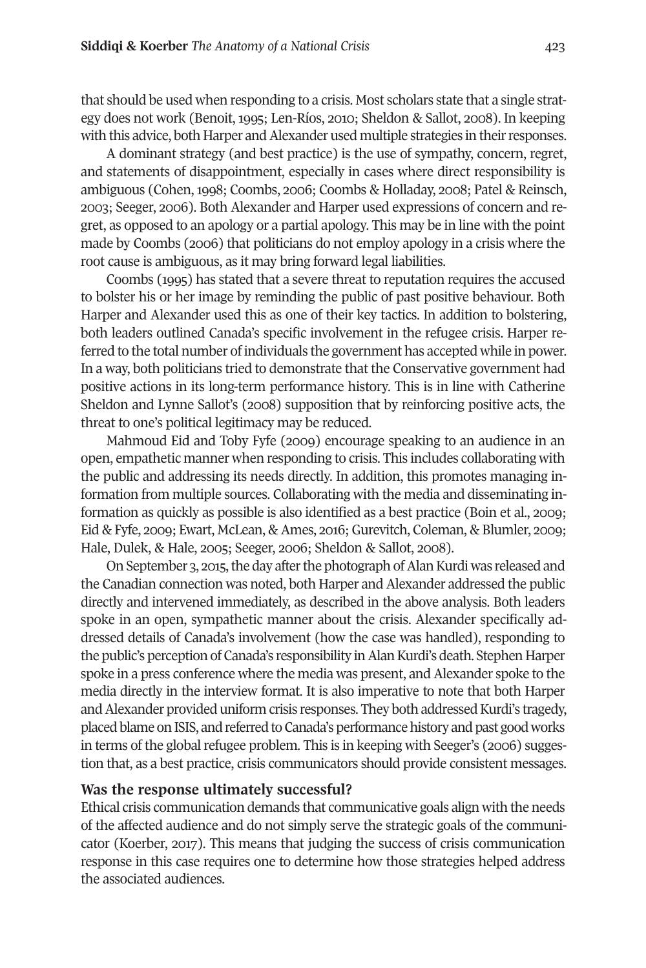that should be used when responding to a crisis. Most scholars state that a single strategy does not work (Benoit, 1995; Len-Ríos, 2010; Sheldon & Sallot, 2008). In keeping with this advice, both Harper and Alexander used multiple strategies in their responses.

A dominant strategy (and best practice) is the use of sympathy, concern, regret, and statements of disappointment, especially in cases where direct responsibility is ambiguous (Cohen,1998; Coombs, 2006; Coombs & Holladay, 2008; Patel & Reinsch, 2003; Seeger, 2006). Both Alexander and Harper used expressions of concern and regret, as opposed to an apology or a partial apology. This may be in line with the point made by Coombs (2006) that politicians do not employ apology in a crisis where the root cause is ambiguous, as it may bring forward legal liabilities.

Coombs (1995) has stated that a severe threat to reputation requires the accused to bolster his or her image by reminding the public of past positive behaviour. Both Harper and Alexander used this as one of their key tactics. In addition to bolstering, both leaders outlined Canada's specific involvement in the refugee crisis. Harper referred to the total number of individuals the government has accepted while in power. In a way, both politicians tried to demonstrate that the Conservative government had positive actions in its long-term performance history. This is in line with Catherine Sheldon and Lynne Sallot's (2008) supposition that by reinforcing positive acts, the threat to one's political legitimacy may be reduced.

Mahmoud Eid and Toby Fyfe (2009) encourage speaking to an audience in an open, empathetic manner when responding to crisis. This includes collaborating with the public and addressing its needs directly. In addition, this promotes managing information from multiple sources. Collaborating with the media and disseminating information as quickly as possible is also identified as a best practice (Boin et al., 2009; Eid & Fyfe, 2009; Ewart, McLean, & Ames, 2016; Gurevitch, Coleman, & Blumler, 2009; Hale, Dulek, & Hale, 2005; Seeger, 2006; Sheldon & Sallot, 2008).

On September 3, 2015, the day after the photograph of Alan Kurdi was released and the Canadian connection was noted, both Harper and Alexander addressed the public directly and intervened immediately, as described in the above analysis. Both leaders spoke in an open, sympathetic manner about the crisis. Alexander specifically addressed details of Canada's involvement (how the case was handled), responding to the public's perception of Canada's responsibility in Alan Kurdi's death. Stephen Harper spoke in a press conference where the media was present, and Alexander spoke to the media directly in the interview format. It is also imperative to note that both Harper and Alexander provided uniform crisis responses. They both addressed Kurdi's tragedy, placed blame on ISIS, and referred to Canada's performance history and past good works in terms of the global refugee problem. This is in keeping with Seeger's (2006) suggestion that, as a best practice, crisis communicators should provide consistent messages.

#### **Was the response ultimately successful?**

Ethical crisis communication demands that communicative goals align with the needs of the affected audience and do not simply serve the strategic goals of the communicator (Koerber, 2017). This means that judging the success of crisis communication response in this case requires one to determine how those strategies helped address the associated audiences.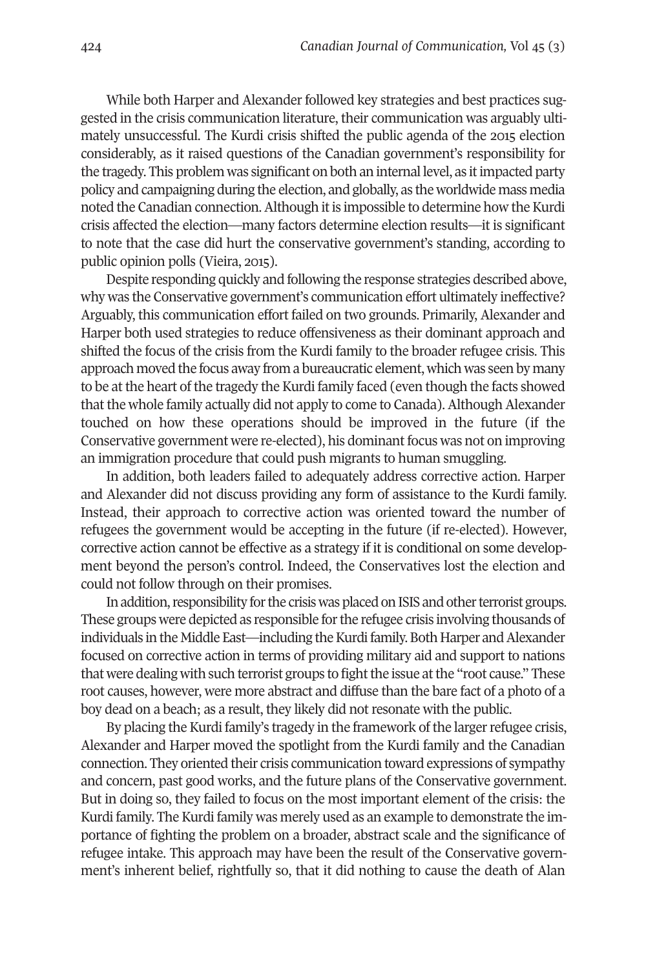While both Harper and Alexander followed key strategies and best practices suggested in the crisis communication literature, their communication was arguably ultimately unsuccessful. The Kurdi crisis shifted the public agenda of the 2015 election considerably, as it raised questions of the Canadian government's responsibility for the tragedy. This problem was significant on both an internal level, as itimpacted party policy and campaigning during the election, and globally, as the worldwide mass media noted the Canadian connection. Although it is impossible to determine how the Kurdi crisis affected the election—many factors determine election results—it is significant to note that the case did hurt the conservative government's standing, according to public opinion polls (Vieira, 2015).

Despite responding quickly and following the response strategies described above, why was the Conservative government's communication effort ultimately ineffective? Arguably, this communication effort failed on two grounds. Primarily, Alexander and Harper both used strategies to reduce offensiveness as their dominant approach and shifted the focus of the crisis from the Kurdi family to the broader refugee crisis. This approach moved the focus away from a bureaucratic element, which was seen by many to be at the heart of the tragedy the Kurdi family faced (even though the facts showed that the whole family actually did not apply to come to Canada). Although Alexander touched on how these operations should be improved in the future (if the Conservative government were re-elected), his dominant focus was not on improving an immigration procedure that could push migrants to human smuggling.

In addition, both leaders failed to adequately address corrective action. Harper and Alexander did not discuss providing any form of assistance to the Kurdi family. Instead, their approach to corrective action was oriented toward the number of refugees the government would be accepting in the future (if re-elected). However, corrective action cannot be effective as a strategy if it is conditional on some development beyond the person's control. Indeed, the Conservatives lost the election and could not follow through on their promises.

In addition, responsibility for the crisis was placed on ISIS and other terrorist groups. These groups were depicted as responsible for the refugee crisis involving thousands of individuals in the Middle East—including the Kurdi family. Both Harper and Alexander focused on corrective action in terms of providing military aid and support to nations that were dealing with such terrorist groups to fight the issue at the "root cause." These root causes, however, were more abstract and diffuse than the bare fact of a photo of a boy dead on a beach; as a result, they likely did not resonate with the public.

By placing the Kurdi family's tragedy in the framework of the larger refugee crisis, Alexander and Harper moved the spotlight from the Kurdi family and the Canadian connection. They oriented their crisis communication toward expressions of sympathy and concern, past good works, and the future plans of the Conservative government. But in doing so, they failed to focus on the most important element of the crisis: the Kurdi family. The Kurdi family was merely used as an example to demonstrate the importance of fighting the problem on a broader, abstract scale and the significance of refugee intake. This approach may have been the result of the Conservative government's inherent belief, rightfully so, that it did nothing to cause the death of Alan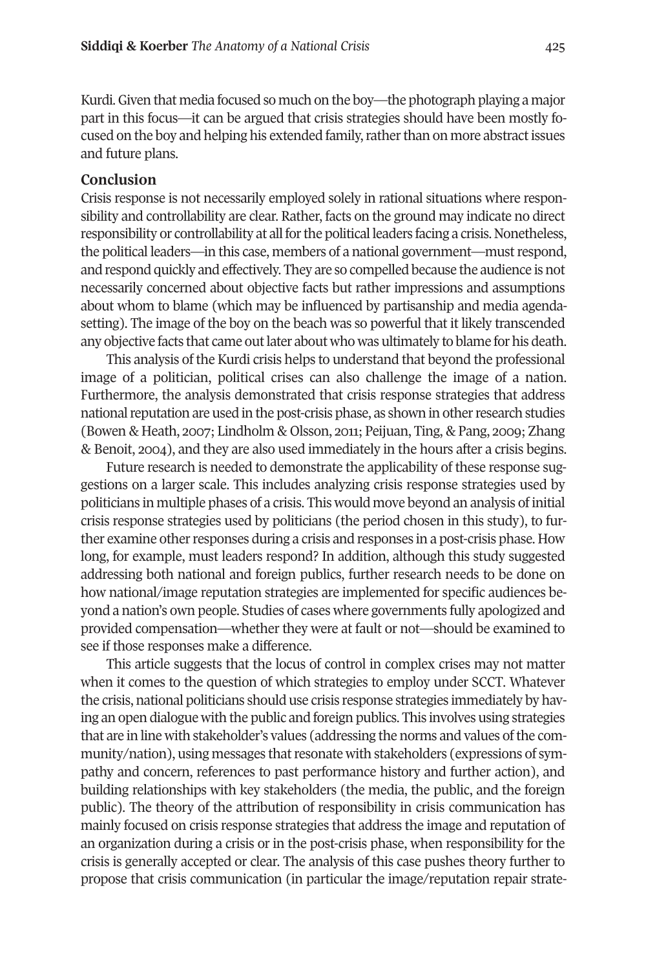Kurdi.Given that media focused so much on the boy—the photograph playing a major part in this focus—it can be argued that crisis strategies should have been mostly focused on the boy and helping his extended family, rather than on more abstract issues and future plans.

#### **Conclusion**

Crisis response is not necessarily employed solely in rational situations where responsibility and controllability are clear. Rather, facts on the ground may indicate no direct responsibility or controllability at all for the political leaders facing a crisis. Nonetheless, the political leaders—in this case, members of a national government—mustrespond, and respond quickly and effectively. They are so compelled because the audience is not necessarily concerned about objective facts but rather impressions and assumptions about whom to blame (which may be influenced by partisanship and media agendasetting). The image of the boy on the beach was so powerful that it likely transcended any objective facts that came outlater about who was ultimately to blame for his death.

This analysis of the Kurdi crisis helps to understand that beyond the professional image of a politician, political crises can also challenge the image of a nation. Furthermore, the analysis demonstrated that crisis response strategies that address national reputation are used in the post-crisis phase, as shown in other research studies (Bowen & Heath, 2007; Lindholm & Olsson, 2011; Peijuan, Ting, & Pang, 2009; Zhang & Benoit, 2004), and they are also used immediately in the hours after a crisis begins.

Future research is needed to demonstrate the applicability of these response suggestions on a larger scale. This includes analyzing crisis response strategies used by politicians in multiple phases of a crisis. This would move beyond an analysis of initial crisis response strategies used by politicians (the period chosen in this study), to further examine other responses during a crisis and responses in a post-crisis phase. How long, for example, must leaders respond? In addition, although this study suggested addressing both national and foreign publics, further research needs to be done on how national/image reputation strategies are implemented for specific audiences beyond a nation's own people. Studies of cases where governments fully apologized and provided compensation—whether they were at fault or not—should be examined to see if those responses make a difference.

This article suggests that the locus of control in complex crises may not matter when it comes to the question of which strategies to employ under SCCT. Whatever the crisis, national politicians should use crisis response strategies immediately by having an open dialogue with the public and foreign publics. This involves using strategies that are in line with stakeholder's values (addressing the norms and values ofthe community/nation), using messages that resonate with stakeholders (expressions of sympathy and concern, references to past performance history and further action), and building relationships with key stakeholders (the media, the public, and the foreign public). The theory of the attribution of responsibility in crisis communication has mainly focused on crisis response strategies that address the image and reputation of an organization during a crisis or in the post-crisis phase, when responsibility for the crisis is generally accepted or clear. The analysis of this case pushes theory further to propose that crisis communication (in particular the image/reputation repair strate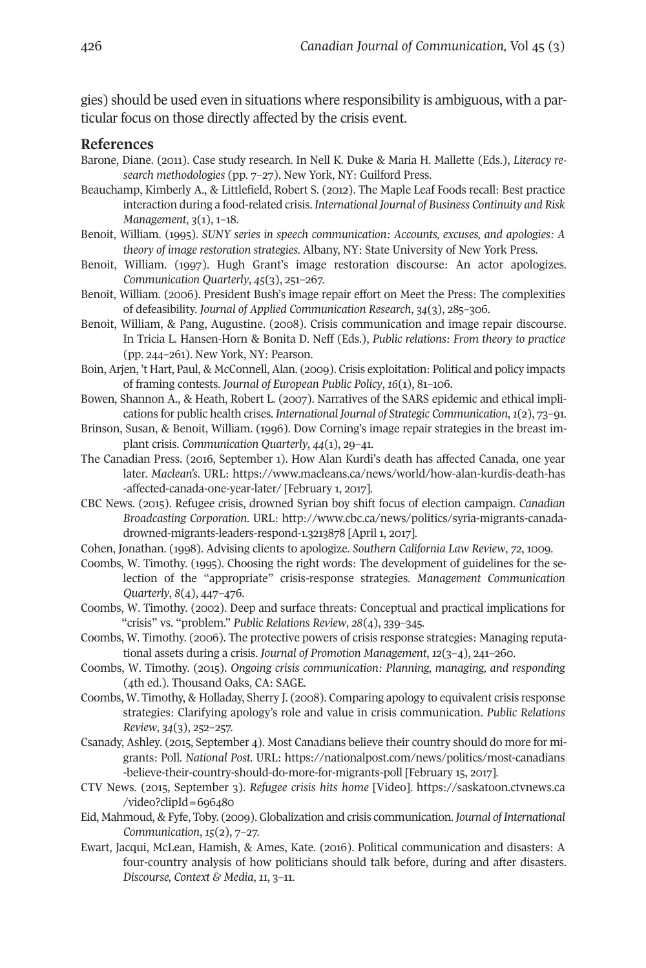gies) should be used even in situations where responsibility is ambiguous, with a particular focus on those directly affected by the crisis event.

#### **References**

- Barone, Diane. (2011). Case study research. In Nell K. Duke & Maria H. Mallette (Eds.), *Literacy research methodologies* (pp. 7–27). New York, NY: Guilford Press.
- Beauchamp, Kimberly A., & Littlefield, Robert S. (2012). The Maple Leaf Foods recall: Best practice interaction during a food-related crisis. *International Journal of Business Continuity and Risk Management*, *3*(1), 1–18.
- Benoit, William. (1995). *SUNY series in speech communication: Accounts, excuses, and apologies: A theory of image restoration strategies.* Albany, NY: State University of New York Press.
- Benoit, William. (1997). Hugh Grant's image restoration discourse: An actor apologizes. *Communication Quarterly*, *45*(3), 251–267.
- Benoit, William. (2006). President Bush's image repair effort on Meet the Press: The complexities of defeasibility. *Journal of Applied Communication Research*, *34*(3), 285–306.
- Benoit, William, & Pang, Augustine. (2008). Crisis communication and image repair discourse. In Tricia L. Hansen-Horn & Bonita D. Neff (Eds.), *Public relations: From theory to practice* (pp. 244–261). New York, NY: Pearson.
- Boin, Arjen, 't Hart, Paul, & McConnell, Alan. (2009). Crisis exploitation: Political and policy impacts of framing contests. *Journal of European Public Policy*, *16*(1), 81–106.
- Bowen, Shannon A., & Heath, Robert L. (2007). Narratives of the SARS epidemic and ethical implications for public health crises. *International Journal of Strategic Communication*, *1*(2), 73–91.
- Brinson, Susan, & Benoit, William. (1996). Dow Corning's image repair strategies in the breast implant crisis. *Communication Quarterly*, *44*(1), 29–41.
- The Canadian Press. (2016, September 1). How Alan Kurdi's death has affected Canada, one year later. *Maclean's*. URL: [https://www.macleans.ca/news/world/how-alan-kurdis-death-has](https://www.macleans.ca/news/world/how-alan-kurdis-death-has-affected-canada-one-year-later/) [-affected-canada-one-year-later/](https://www.macleans.ca/news/world/how-alan-kurdis-death-has-affected-canada-one-year-later/) [February 1, 2017].
- CBC News. (2015). Refugee crisis, drowned Syrian boy shift focus of election campaign. *Canadian Broadcasting Corporation*. URL: [http://www.cbc.ca/news/politics/syria-migrants-canada](http://www.cbc.ca/news/politics/syria-migrants-canada-drowned-migrants-leaders-respond-1.3213878)[drowned-migrants-leaders-respond-1.3213878](http://www.cbc.ca/news/politics/syria-migrants-canada-drowned-migrants-leaders-respond-1.3213878) [April 1, 2017].
- Cohen, Jonathan. (1998). Advising clients to apologize. *Southern California Law Review*, *72*, 1009.
- Coombs, W. Timothy. (1995). Choosing the right words: The development of guidelines for the selection of the "appropriate" crisis-response strategies. *Management Communication Quarterly*, *8*(4), 447–476.
- Coombs, W. Timothy. (2002). Deep and surface threats: Conceptual and practical implications for "crisis" vs. "problem." *Public Relations Review*, *28*(4), 339–345.
- Coombs, W. Timothy. (2006). The protective powers of crisis response strategies: Managing reputational assets during a crisis. *Journal of Promotion Management*, *12*(3–4), 241–260.
- Coombs, W. Timothy. (2015). *Ongoing crisis communication: Planning, managing, and responding* (4th ed.). Thousand Oaks, CA: SAGE.
- Coombs, W. Timothy, & Holladay, Sherry J. (2008). Comparing apology to equivalent crisis response strategies: Clarifying apology's role and value in crisis communication. *Public Relations Review*, *34*(3), 252–257.
- Csanady, Ashley. (2015, September 4). Most Canadians believe their country should do more for migrants: Poll. *National Post*. URL: [https://nationalpost.com/news/politics/most-canadians](https://nationalpost.com/news/politics/most-canadians-believe-their-country-should-do-more-for-migrants-poll) [-believe-their-country-should-do-more-for-migrants-poll](https://nationalpost.com/news/politics/most-canadians-believe-their-country-should-do-more-for-migrants-poll) [February 15, 2017].
- CTV News. (2015, September 3). *Refugee crisis hits home* [Video]. [https://saskatoon.ctvnews.ca](https://saskatoon.ctvnews.ca/video?clipId=696480) [/video?clipId=696480](https://saskatoon.ctvnews.ca/video?clipId=696480)
- Eid, Mahmoud, & Fyfe, Toby. (2009). Globalization and crisis communication. *Journal of International Communication*, *15*(2), 7–27.
- Ewart, Jacqui, McLean, Hamish, & Ames, Kate. (2016). Political communication and disasters: A four-country analysis of how politicians should talk before, during and after disasters. *Discourse, Context & Media*, *11*, 3–11.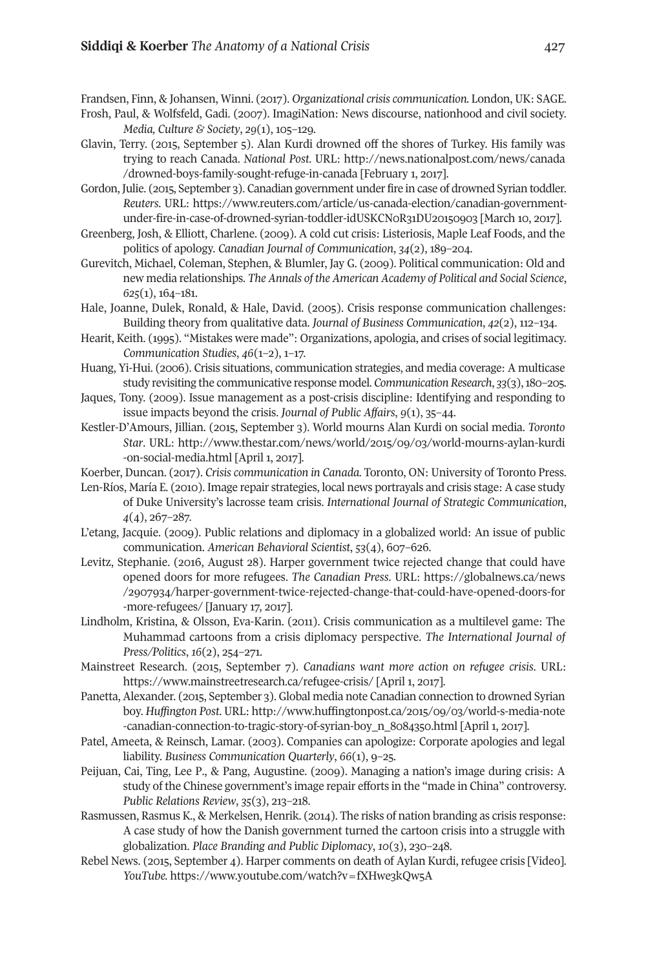Frandsen, Finn, & Johansen, Winni. (2017). *Organizational crisis communication.* London, UK: SAGE.

- Frosh, Paul, & Wolfsfeld, Gadi. (2007). ImagiNation: News discourse, nationhood and civil society. *Media, Culture & Society*, *29*(1), 105–129.
- Glavin, Terry. (2015, September 5). Alan Kurdi drowned off the shores of Turkey. His family was trying to reach Canada. *National Post*. URL: [http://news.nationalpost.com/news/canada](http://news.nationalpost.com/news/canada/drowned-boys-family-sought-refuge-in-canada) [/drowned-boys-family-sought-refuge-in-canada](http://news.nationalpost.com/news/canada/drowned-boys-family-sought-refuge-in-canada) [February 1, 2017].
- Gordon, Julie. (2015, September 3). Canadian government underfire in case of drowned Syrian toddler. *Reuters*. URL: [https://www.reuters.com/article/us-canada-election/canadian-government](https://www.reuters.com/article/us-canada-election/canadian-government-under-fire-in-case-of-drowned-syrian-toddler-idUSKCN0R31DU20150903)[under-fire-in-case-of-drowned-syrian-toddler-idUSKCN0R31DU20150903](https://www.reuters.com/article/us-canada-election/canadian-government-under-fire-in-case-of-drowned-syrian-toddler-idUSKCN0R31DU20150903) [March 10, 2017].
- Greenberg, Josh, & Elliott, Charlene. (2009). A cold cut crisis: Listeriosis, Maple Leaf Foods, and the politics of apology. *Canadian Journal of Communication*, *34*(2), 189–204.
- Gurevitch, Michael, Coleman, Stephen, & Blumler, Jay G. (2009). Political communication: Old and new media relationships. *The Annals of the American Academy of Political and Social Science*, *625*(1), 164–181.
- Hale, Joanne, Dulek, Ronald, & Hale, David. (2005). Crisis response communication challenges: Building theory from qualitative data. *Journal of Business Communication*, *42*(2), 112–134.
- Hearit, Keith. (1995). "Mistakes were made": Organizations, apologia, and crises of social legitimacy. *Communication Studies*, *46*(1–2), 1–17.
- Huang, Yi-Hui. (2006). Crisis situations, communication strategies, and media coverage: A multicase study revisiting the communicative response model. *Communication Research*, *33*(3),180–205.
- Jaques, Tony. (2009). Issue management as a post-crisis discipline: Identifying and responding to issue impacts beyond the crisis. *Journal of Public Affairs*, *9*(1), 35–44.
- Kestler-D'Amours, Jillian. (2015, September 3). World mourns Alan Kurdi on social media. *Toronto Star*. URL: [http://www.thestar.com/news/world/2015/09/03/world-mourns-aylan-kurdi](http://www.thestar.com/news/world/2015/09/03/world-mourns-aylan-kurdi-on-social-media.html) [-on-social-media.html](http://www.thestar.com/news/world/2015/09/03/world-mourns-aylan-kurdi-on-social-media.html) [April 1, 2017].

Koerber, Duncan. (2017). *Crisis communication in Canada.* Toronto, ON: University of Toronto Press.

- Len-Ríos, María E. (2010). Image repair strategies, local news portrayals and crisis stage: A case study of Duke University's lacrosse team crisis. *International Journal of Strategic Communication*, *4*(4), 267–287.
- L'etang, Jacquie. (2009). Public relations and diplomacy in a globalized world: An issue of public communication. *American Behavioral Scientist*, *53*(4), 607–626.
- Levitz, Stephanie. (2016, August 28). Harper government twice rejected change that could have opened doors for more refugees. *The Canadian Press*. URL: [https://globalnews.ca/news](https://globalnews.ca/news/2907934/harper-government-twice-rejected-change-that-could-have-opened-doors-for-more-refugees) [/2907934/harper-government-twice-rejected-change-that-could-have-opened-doors-for](https://globalnews.ca/news/2907934/harper-government-twice-rejected-change-that-could-have-opened-doors-for-more-refugees) [-more-refugees/](https://globalnews.ca/news/2907934/harper-government-twice-rejected-change-that-could-have-opened-doors-for-more-refugees) [January 17, 2017].
- Lindholm, Kristina, & Olsson, Eva-Karin. (2011). Crisis communication as a multilevel game: The Muhammad cartoons from a crisis diplomacy perspective. *The International Journal of Press/Politics*, *16*(2), 254–271.
- Mainstreet Research. (2015, September 7). *Canadians want more action on refugee crisis.* URL: [https://www.mainstreetresearch.ca/refugee-crisis/](https://www.mainstreetresearch.ca/refugee-crisis) [April 1, 2017].
- Panetta, Alexander. (2015, September 3). Global media note Canadian connection to drowned Syrian boy. *Huffington Post*. URL: [http://www.huffingtonpost.ca/2015/09/03/world-s-media-note](http://www.huffingtonpost.ca/2015/09/03/world-s-media-note-canadian-connection-to-tragic-story-of-syrian-boy_n_8084350.html) [-canadian-connection-to-tragic-story-of-syrian-boy\\_n\\_8084350.html](http://www.huffingtonpost.ca/2015/09/03/world-s-media-note-canadian-connection-to-tragic-story-of-syrian-boy_n_8084350.html) [April 1, 2017].
- Patel, Ameeta, & Reinsch, Lamar. (2003). Companies can apologize: Corporate apologies and legal liability. *Business Communication Quarterly*, *66*(1), 9–25.
- Peijuan, Cai, Ting, Lee P., & Pang, Augustine. (2009). Managing a nation's image during crisis: A study of the Chinese government's image repair efforts in the "made in China" controversy. *Public Relations Review*, *35*(3), 213–218.
- Rasmussen, Rasmus K., & Merkelsen, Henrik. (2014). The risks of nation branding as crisis response: A case study of how the Danish government turned the cartoon crisis into a struggle with globalization. *Place Branding and Public Diplomacy*, *10*(3), 230–248.
- Rebel News. (2015, September 4). Harper comments on death of Aylan Kurdi, refugee crisis [Video]. *YouTube.* <https://www.youtube.com/watch?v=fXHwe3kQw5A>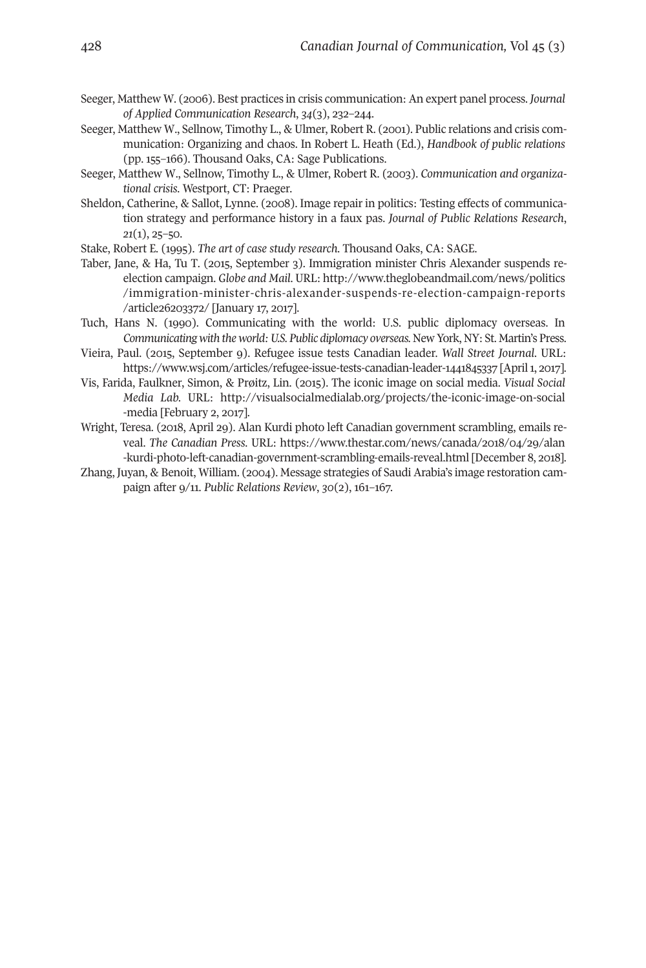- Seeger, Matthew W. (2006). Best practices in crisis communication: An expert panel process. *Journal of Applied Communication Research*, *34*(3), 232–244.
- Seeger, Matthew W., Sellnow, Timothy L., & Ulmer, Robert R. (2001). Public relations and crisis communication: Organizing and chaos. In Robert L. Heath (Ed.), *Handbook of public relations* (pp. 155–166). Thousand Oaks, CA: Sage Publications.
- Seeger, Matthew W., Sellnow, Timothy L., & Ulmer, Robert R. (2003). *Communication and organizational crisis*. Westport, CT: Praeger.
- Sheldon, Catherine, & Sallot, Lynne. (2008). Image repair in politics: Testing effects of communication strategy and performance history in a faux pas. *Journal of Public Relations Research*, *21*(1), 25–50.
- Stake, Robert E. (1995). *The art of case study research.* Thousand Oaks, CA: SAGE.
- Taber, Jane, & Ha, Tu T. (2015, September 3). Immigration minister Chris Alexander suspends reelection campaign. *Globe and Mail*. URL: [http://www.theglobeandmail.com/news/politics](http://www.theglobeandmail.com/news/politics/immigration-minister-chris-alexander-suspends-re-election-campaign-reports/article26203372) [/immigration-minister-chris-alexander-suspends-re-election-campaign-reports](http://www.theglobeandmail.com/news/politics/immigration-minister-chris-alexander-suspends-re-election-campaign-reports/article26203372) [/article26203372/](http://www.theglobeandmail.com/news/politics/immigration-minister-chris-alexander-suspends-re-election-campaign-reports/article26203372) [January 17, 2017].
- Tuch, Hans N. (1990). Communicating with the world: U.S. public diplomacy overseas. In *Communicating with the world:U.S. Public diplomacy overseas.* New York, NY: St. Martin's Press.
- Vieira, Paul. (2015, September 9). Refugee issue tests Canadian leader. *Wall Street Journal*. URL: <https://www.wsj.com/articles/refugee-issue-tests-canadian-leader-1441845337> [April1, 2017].
- Vis, Farida, Faulkner, Simon, & Prøitz, Lin. (2015). The iconic image on social media. *Visual Social Media Lab.* URL: [http://visualsocialmedialab.org/projects/the-iconic-image-on-social](http://visualsocialmedialab.org/projects/the-iconic-image-on-social-media) [-media](http://visualsocialmedialab.org/projects/the-iconic-image-on-social-media) [February 2, 2017].
- Wright, Teresa. (2018, April 29). Alan Kurdi photo left Canadian government scrambling, emails reveal. *The Canadian Press*. URL: [https://www.thestar.com/news/canada/2018/04/29/alan](https://www.thestar.com/news/canada/2018/04/29/alan-kurdi-photo-left-canadian-government-scrambling-emails-reveal.html) [-kurdi-photo-left-canadian-government-scrambling-emails-reveal.html](https://www.thestar.com/news/canada/2018/04/29/alan-kurdi-photo-left-canadian-government-scrambling-emails-reveal.html) [December 8, 2018].
- Zhang, Juyan, & Benoit, William. (2004). Message strategies of Saudi Arabia's image restoration campaign after 9/11. *Public Relations Review*, *30*(2), 161–167.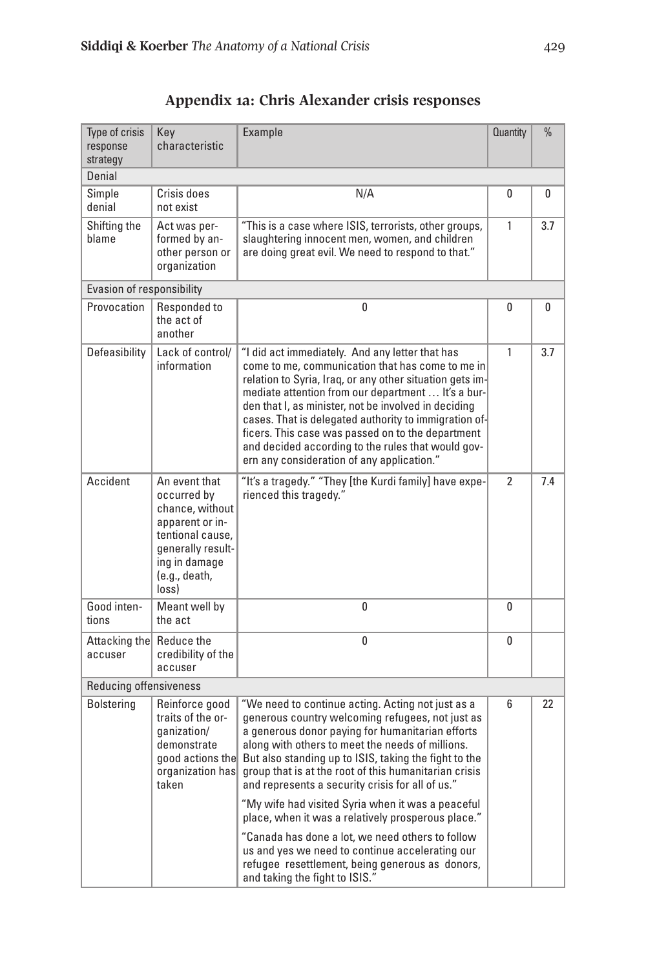| Type of crisis<br>response<br>strategy | Key<br>characteristic                                                                                                                                  | Example                                                                                                                                                                                                                                                                                                                                                                                                                                                                                                                                                                                                                                                                                   | <b>Quantity</b> | $\frac{0}{0}$ |  |
|----------------------------------------|--------------------------------------------------------------------------------------------------------------------------------------------------------|-------------------------------------------------------------------------------------------------------------------------------------------------------------------------------------------------------------------------------------------------------------------------------------------------------------------------------------------------------------------------------------------------------------------------------------------------------------------------------------------------------------------------------------------------------------------------------------------------------------------------------------------------------------------------------------------|-----------------|---------------|--|
| Denial                                 |                                                                                                                                                        |                                                                                                                                                                                                                                                                                                                                                                                                                                                                                                                                                                                                                                                                                           |                 |               |  |
| Simple<br>denial                       | Crisis does<br>not exist                                                                                                                               | N/A                                                                                                                                                                                                                                                                                                                                                                                                                                                                                                                                                                                                                                                                                       | 0               | 0             |  |
| Shifting the<br>blame                  | Act was per-<br>formed by an-<br>other person or<br>organization                                                                                       | "This is a case where ISIS, terrorists, other groups,<br>slaughtering innocent men, women, and children<br>are doing great evil. We need to respond to that."                                                                                                                                                                                                                                                                                                                                                                                                                                                                                                                             | 1               | 3.7           |  |
| Evasion of responsibility              |                                                                                                                                                        |                                                                                                                                                                                                                                                                                                                                                                                                                                                                                                                                                                                                                                                                                           |                 |               |  |
| Provocation                            | Responded to<br>the act of<br>another                                                                                                                  | 0                                                                                                                                                                                                                                                                                                                                                                                                                                                                                                                                                                                                                                                                                         | 0               | 0             |  |
| Defeasibility                          | Lack of control/<br>information                                                                                                                        | "I did act immediately. And any letter that has<br>come to me, communication that has come to me in<br>relation to Syria, Iraq, or any other situation gets im-<br>mediate attention from our department  It's a bur-<br>den that I, as minister, not be involved in deciding<br>cases. That is delegated authority to immigration of-<br>ficers. This case was passed on to the department<br>and decided according to the rules that would gov-<br>ern any consideration of any application."                                                                                                                                                                                           | 1               | 3.7           |  |
| Accident                               | An event that<br>occurred by<br>chance, without<br>apparent or in-<br>tentional cause.<br>generally result-<br>ing in damage<br>(e.g., death,<br>loss) | "It's a tragedy." "They [the Kurdi family] have expe-<br>rienced this tragedy."                                                                                                                                                                                                                                                                                                                                                                                                                                                                                                                                                                                                           | $\overline{2}$  | 7.4           |  |
| Good inten-<br>tions                   | Meant well by<br>the act                                                                                                                               | 0                                                                                                                                                                                                                                                                                                                                                                                                                                                                                                                                                                                                                                                                                         | 0               |               |  |
| Attacking the Reduce the<br>accuser    | credibility of the<br>accuser                                                                                                                          | 0                                                                                                                                                                                                                                                                                                                                                                                                                                                                                                                                                                                                                                                                                         | 0               |               |  |
|                                        | Reducing offensiveness                                                                                                                                 |                                                                                                                                                                                                                                                                                                                                                                                                                                                                                                                                                                                                                                                                                           |                 |               |  |
| Bolstering                             | Reinforce good<br>traits of the or-<br>qanization/<br>demonstrate<br>good actions the<br>organization has<br>taken                                     | "We need to continue acting. Acting not just as a<br>generous country welcoming refugees, not just as<br>a generous donor paying for humanitarian efforts<br>along with others to meet the needs of millions.<br>But also standing up to ISIS, taking the fight to the<br>group that is at the root of this humanitarian crisis<br>and represents a security crisis for all of us."<br>"My wife had visited Syria when it was a peaceful<br>place, when it was a relatively prosperous place."<br>"Canada has done a lot, we need others to follow<br>us and yes we need to continue accelerating our<br>refugee resettlement, being generous as donors,<br>and taking the fight to ISIS. | 6               | 22            |  |

**Appendix 1a: Chris Alexander crisis responses**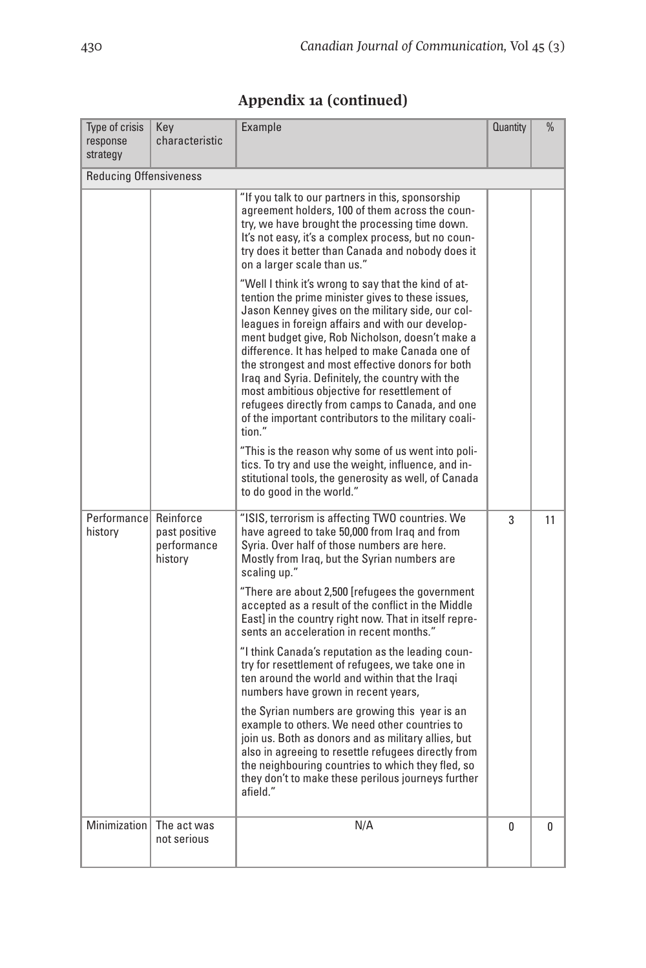| Type of crisis<br>response<br>strategy | Key<br>characteristic                                | Example                                                                                                                                                                                                                                                                                                                                                                                                                                                             | <b>Quantity</b> | $\frac{0}{0}$ |
|----------------------------------------|------------------------------------------------------|---------------------------------------------------------------------------------------------------------------------------------------------------------------------------------------------------------------------------------------------------------------------------------------------------------------------------------------------------------------------------------------------------------------------------------------------------------------------|-----------------|---------------|
| <b>Reducing Offensiveness</b>          |                                                      |                                                                                                                                                                                                                                                                                                                                                                                                                                                                     |                 |               |
|                                        |                                                      | "If you talk to our partners in this, sponsorship<br>agreement holders, 100 of them across the coun-<br>try, we have brought the processing time down.<br>It's not easy, it's a complex process, but no coun-<br>try does it better than Canada and nobody does it<br>on a larger scale than us."<br>"Well I think it's wrong to say that the kind of at-<br>tention the prime minister gives to these issues,<br>Jason Kenney gives on the military side, our col- |                 |               |
|                                        |                                                      | leagues in foreign affairs and with our develop-<br>ment budget give, Rob Nicholson, doesn't make a<br>difference. It has helped to make Canada one of<br>the strongest and most effective donors for both<br>Irag and Syria. Definitely, the country with the<br>most ambitious obiective for resettlement of<br>refugees directly from camps to Canada, and one<br>of the important contributors to the military coali-<br>tion."                                 |                 |               |
|                                        |                                                      | "This is the reason why some of us went into poli-<br>tics. To try and use the weight, influence, and in-<br>stitutional tools, the generosity as well, of Canada<br>to do good in the world."                                                                                                                                                                                                                                                                      |                 |               |
| Performancel<br>history                | Reinforce<br>past positive<br>performance<br>history | "ISIS, terrorism is affecting TWO countries. We<br>have agreed to take 50,000 from Iraq and from<br>Syria. Over half of those numbers are here.<br>Mostly from Iraq, but the Syrian numbers are<br>scaling up."                                                                                                                                                                                                                                                     | 3               | 11            |
|                                        |                                                      | "There are about 2,500 [refugees the government<br>accepted as a result of the conflict in the Middle<br>East] in the country right now. That in itself repre-<br>sents an acceleration in recent months."                                                                                                                                                                                                                                                          |                 |               |
|                                        |                                                      | "I think Canada's reputation as the leading coun-<br>try for resettlement of refugees, we take one in<br>ten around the world and within that the Iragi<br>numbers have grown in recent years,                                                                                                                                                                                                                                                                      |                 |               |
|                                        |                                                      | the Syrian numbers are growing this year is an<br>example to others. We need other countries to<br>join us. Both as donors and as military allies, but<br>also in agreeing to resettle refugees directly from<br>the neighbouring countries to which they fled, so<br>they don't to make these perilous journeys further<br>afield."                                                                                                                                |                 |               |
| Minimization                           | The act was<br>not serious                           | N/A                                                                                                                                                                                                                                                                                                                                                                                                                                                                 | 0               | 0             |

# **Appendix 1a (continued)**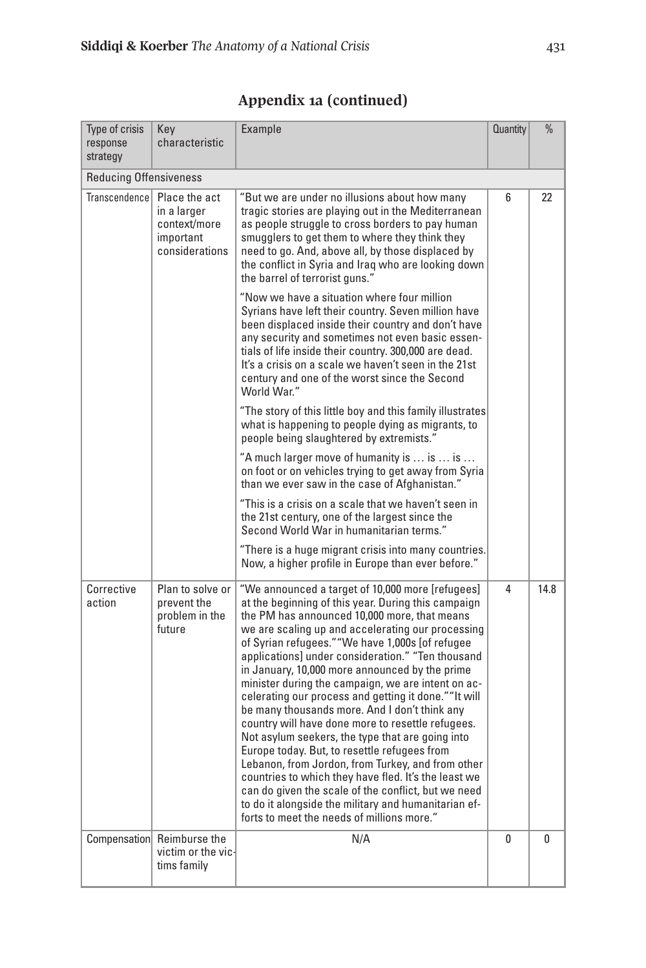| Type of crisis<br>response<br>strategy | Key<br>characteristic                                                       | Example                                                                                                                                                                                                                                                                                                                                                                                                                                                                                                                                                                                                                                                                                                                                                                                                                                                                                                                                                                  | <b>Quantity</b> | $\frac{0}{0}$ |
|----------------------------------------|-----------------------------------------------------------------------------|--------------------------------------------------------------------------------------------------------------------------------------------------------------------------------------------------------------------------------------------------------------------------------------------------------------------------------------------------------------------------------------------------------------------------------------------------------------------------------------------------------------------------------------------------------------------------------------------------------------------------------------------------------------------------------------------------------------------------------------------------------------------------------------------------------------------------------------------------------------------------------------------------------------------------------------------------------------------------|-----------------|---------------|
| <b>Reducing Offensiveness</b>          |                                                                             |                                                                                                                                                                                                                                                                                                                                                                                                                                                                                                                                                                                                                                                                                                                                                                                                                                                                                                                                                                          |                 |               |
| Transcendence                          | Place the act<br>in a larger<br>context/more<br>important<br>considerations | "But we are under no illusions about how many<br>tragic stories are playing out in the Mediterranean<br>as people struggle to cross borders to pay human<br>smugglers to get them to where they think they<br>need to go. And, above all, by those displaced by<br>the conflict in Syria and Iraq who are looking down<br>the barrel of terrorist guns."                                                                                                                                                                                                                                                                                                                                                                                                                                                                                                                                                                                                                 | 6               | 22            |
|                                        |                                                                             | "Now we have a situation where four million<br>Syrians have left their country. Seven million have<br>been displaced inside their country and don't have<br>any security and sometimes not even basic essen-<br>tials of life inside their country. 300,000 are dead.<br>It's a crisis on a scale we haven't seen in the 21st<br>century and one of the worst since the Second<br>World War."                                                                                                                                                                                                                                                                                                                                                                                                                                                                                                                                                                            |                 |               |
|                                        |                                                                             | "The story of this little boy and this family illustrates<br>what is happening to people dying as migrants, to<br>people being slaughtered by extremists."                                                                                                                                                                                                                                                                                                                                                                                                                                                                                                                                                                                                                                                                                                                                                                                                               |                 |               |
|                                        |                                                                             | "A much larger move of humanity is  is  is<br>on foot or on vehicles trying to get away from Syria<br>than we ever saw in the case of Afghanistan."                                                                                                                                                                                                                                                                                                                                                                                                                                                                                                                                                                                                                                                                                                                                                                                                                      |                 |               |
|                                        |                                                                             | "This is a crisis on a scale that we haven't seen in<br>the 21st century, one of the largest since the<br>Second World War in humanitarian terms."                                                                                                                                                                                                                                                                                                                                                                                                                                                                                                                                                                                                                                                                                                                                                                                                                       |                 |               |
|                                        |                                                                             | "There is a huge migrant crisis into many countries.<br>Now, a higher profile in Europe than ever before."                                                                                                                                                                                                                                                                                                                                                                                                                                                                                                                                                                                                                                                                                                                                                                                                                                                               |                 |               |
| Corrective<br>action                   | Plan to solve or<br>prevent the<br>problem in the<br>future                 | "We announced a target of 10,000 more [refugees]<br>at the beginning of this year. During this campaign<br>the PM has announced 10,000 more, that means<br>we are scaling up and accelerating our processing<br>of Syrian refugees.""We have 1,000s [of refugee<br>applications] under consideration." "Ten thousand<br>in January, 10,000 more announced by the prime<br>minister during the campaign, we are intent on ac-<br>celerating our process and getting it done.""It will<br>be many thousands more. And I don't think any<br>country will have done more to resettle refugees.<br>Not asylum seekers, the type that are going into<br>Europe today. But, to resettle refugees from<br>Lebanon, from Jordon, from Turkey, and from other<br>countries to which they have fled. It's the least we<br>can do given the scale of the conflict, but we need<br>to do it alongside the military and humanitarian ef-<br>forts to meet the needs of millions more." | 4               | 14.8          |
|                                        | Compensation Reimburse the<br>victim or the vic-<br>tims family             | N/A                                                                                                                                                                                                                                                                                                                                                                                                                                                                                                                                                                                                                                                                                                                                                                                                                                                                                                                                                                      | 0               | 0             |

| Appendix 1a (continued) |  |
|-------------------------|--|
|-------------------------|--|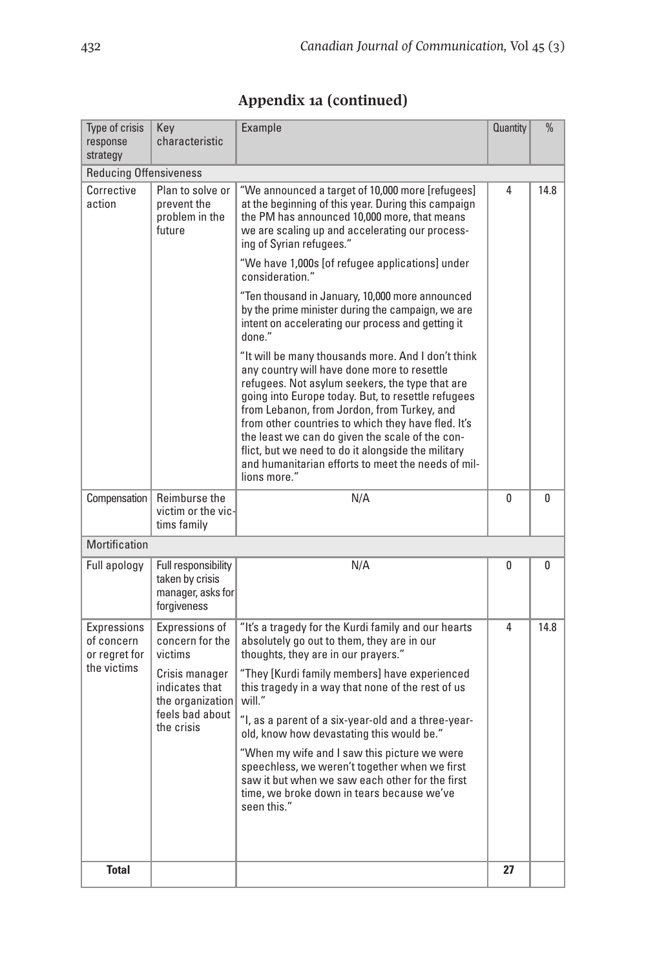| Type of crisis<br>response<br>strategy                    | Key<br>characteristic                                                                                                                 | Example                                                                                                                                                                                                                                                                                                                                                                                                                                                                                                                                                                       | <b>Quantity</b> | $\%$ |
|-----------------------------------------------------------|---------------------------------------------------------------------------------------------------------------------------------------|-------------------------------------------------------------------------------------------------------------------------------------------------------------------------------------------------------------------------------------------------------------------------------------------------------------------------------------------------------------------------------------------------------------------------------------------------------------------------------------------------------------------------------------------------------------------------------|-----------------|------|
| <b>Reducing Offensiveness</b>                             |                                                                                                                                       |                                                                                                                                                                                                                                                                                                                                                                                                                                                                                                                                                                               |                 |      |
| Corrective<br>action                                      | Plan to solve or<br>prevent the<br>problem in the<br>future                                                                           | "We announced a target of 10,000 more [refugees]<br>at the beginning of this year. During this campaign<br>the PM has announced 10,000 more, that means<br>we are scaling up and accelerating our process-<br>ing of Syrian refugees."<br>"We have 1,000s [of refugee applications] under<br>consideration."<br>"Ten thousand in January, 10,000 more announced<br>by the prime minister during the campaign, we are<br>intent on accelerating our process and getting it                                                                                                     | 4               | 14.8 |
|                                                           |                                                                                                                                       | done."<br>"It will be many thousands more. And I don't think<br>any country will have done more to resettle<br>refugees. Not asylum seekers, the type that are<br>going into Europe today. But, to resettle refugees<br>from Lebanon, from Jordon, from Turkey, and<br>from other countries to which they have fled. It's<br>the least we can do given the scale of the con-<br>flict, but we need to do it alongside the military<br>and humanitarian efforts to meet the needs of mil-<br>lions more."                                                                      |                 |      |
| Compensation                                              | Reimburse the<br>victim or the vic-<br>tims family                                                                                    | N/A                                                                                                                                                                                                                                                                                                                                                                                                                                                                                                                                                                           | 0               | 0    |
| Mortification                                             |                                                                                                                                       |                                                                                                                                                                                                                                                                                                                                                                                                                                                                                                                                                                               |                 |      |
| Full apology                                              | Full responsibility<br>taken by crisis<br>manager, asks for<br>forgiveness                                                            | N/A                                                                                                                                                                                                                                                                                                                                                                                                                                                                                                                                                                           | 0               | 0    |
| Expressions<br>of concern<br>or regret for<br>the victims | Expressions of<br>concern for the<br>victims<br>Crisis manager<br>indicates that<br>the organization<br>feels bad about<br>the crisis | "It's a tragedy for the Kurdi family and our hearts<br>absolutely go out to them, they are in our<br>thoughts, they are in our prayers."<br>"They [Kurdi family members] have experienced<br>this tragedy in a way that none of the rest of us<br>will."<br>"I, as a parent of a six-year-old and a three-year-<br>old, know how devastating this would be."<br>"When my wife and I saw this picture we were<br>speechless, we weren't together when we first<br>saw it but when we saw each other for the first<br>time, we broke down in tears because we've<br>seen this." | 4               | 14.8 |
| <b>Total</b>                                              |                                                                                                                                       |                                                                                                                                                                                                                                                                                                                                                                                                                                                                                                                                                                               | 27              |      |

# **Appendix 1a (continued)**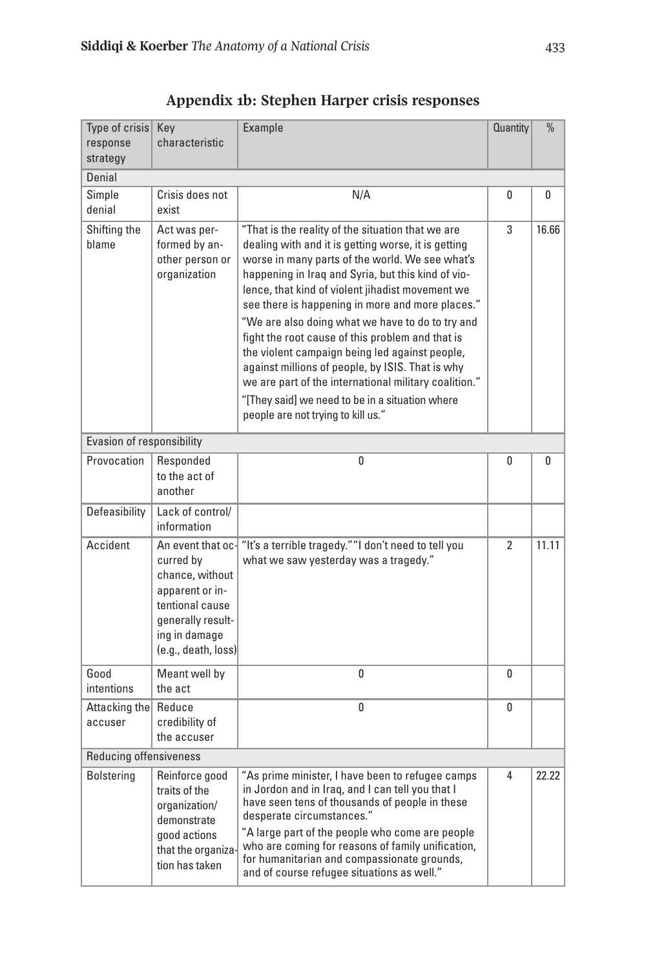| Type of crisis<br>response<br>strategy | Key<br>characteristic                                                                                                                                | Example                                                                                                                                                                                                                                                                                                                                                                                                                                                                                                                                                                                                                                                                                   | <b>Quantity</b> | $\frac{0}{0}$ |  |
|----------------------------------------|------------------------------------------------------------------------------------------------------------------------------------------------------|-------------------------------------------------------------------------------------------------------------------------------------------------------------------------------------------------------------------------------------------------------------------------------------------------------------------------------------------------------------------------------------------------------------------------------------------------------------------------------------------------------------------------------------------------------------------------------------------------------------------------------------------------------------------------------------------|-----------------|---------------|--|
| Denial                                 |                                                                                                                                                      |                                                                                                                                                                                                                                                                                                                                                                                                                                                                                                                                                                                                                                                                                           |                 |               |  |
| Simple<br>denial                       | Crisis does not<br>exist                                                                                                                             | N/A                                                                                                                                                                                                                                                                                                                                                                                                                                                                                                                                                                                                                                                                                       | 0               | 0             |  |
| Shifting the<br>blame                  | Act was per-<br>formed by an-<br>other person or<br>organization                                                                                     | "That is the reality of the situation that we are<br>dealing with and it is getting worse, it is getting<br>worse in many parts of the world. We see what's<br>happening in Iraq and Syria, but this kind of vio-<br>lence, that kind of violent jihadist movement we<br>see there is happening in more and more places."<br>"We are also doing what we have to do to try and<br>fight the root cause of this problem and that is<br>the violent campaign being led against people,<br>against millions of people, by ISIS. That is why<br>we are part of the international military coalition."<br>"[They said] we need to be in a situation where<br>people are not trying to kill us." | 3               | 16.66         |  |
| Evasion of responsibility              |                                                                                                                                                      |                                                                                                                                                                                                                                                                                                                                                                                                                                                                                                                                                                                                                                                                                           |                 |               |  |
| Provocation                            | Responded<br>to the act of<br>another                                                                                                                | 0                                                                                                                                                                                                                                                                                                                                                                                                                                                                                                                                                                                                                                                                                         | 0               | 0             |  |
| Defeasibility                          | Lack of control/<br>information                                                                                                                      |                                                                                                                                                                                                                                                                                                                                                                                                                                                                                                                                                                                                                                                                                           |                 |               |  |
| Accident                               | An event that oc-<br>curred by<br>chance, without<br>apparent or in-<br>tentional cause<br>generally result-<br>ing in damage<br>(e.g., death, loss) | "It's a terrible tragedy." "I don't need to tell you<br>what we saw yesterday was a tragedy."                                                                                                                                                                                                                                                                                                                                                                                                                                                                                                                                                                                             | $\overline{2}$  | 11.11         |  |
| Good<br>intentions                     | Meant well by<br>the act                                                                                                                             | 0                                                                                                                                                                                                                                                                                                                                                                                                                                                                                                                                                                                                                                                                                         | 0               |               |  |
| Attacking the<br>accuser               | Reduce<br>credibility of<br>the accuser                                                                                                              | 0                                                                                                                                                                                                                                                                                                                                                                                                                                                                                                                                                                                                                                                                                         | 0               |               |  |
| <b>Reducing offensiveness</b>          |                                                                                                                                                      |                                                                                                                                                                                                                                                                                                                                                                                                                                                                                                                                                                                                                                                                                           |                 |               |  |
| <b>Bolstering</b>                      | Reinforce good<br>traits of the<br>organization/<br>demonstrate<br>good actions<br>that the organiza-<br>tion has taken                              | "As prime minister, I have been to refugee camps<br>in Jordon and in Irag, and I can tell you that I<br>have seen tens of thousands of people in these<br>desperate circumstances."<br>"A large part of the people who come are people<br>who are coming for reasons of family unification,<br>for humanitarian and compassionate grounds,<br>and of course refugee situations as well."                                                                                                                                                                                                                                                                                                  | 4               | 22.22         |  |

**Appendix 1b: Stephen Harper crisis responses**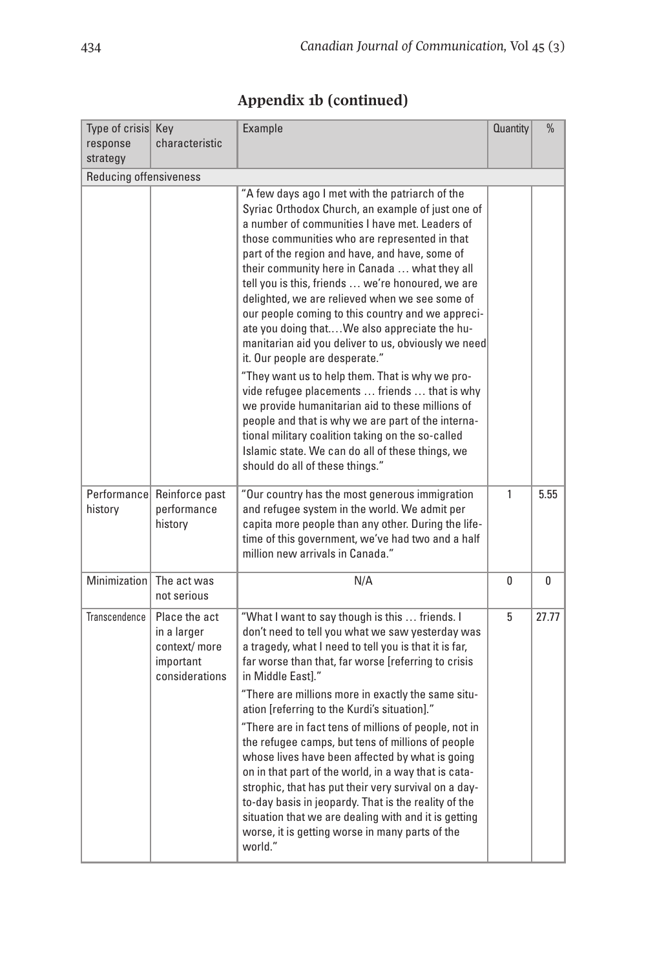| Type of crisis Key<br>response<br>strategy | characteristic                                                              | Example                                                                                                                                                                                                                                                                                                                                                                                                                                                                                                                                                                                                                                                                                                                                                                                                                                                                                                                                                                    | <b>Quantity</b> | $\frac{0}{0}$ |
|--------------------------------------------|-----------------------------------------------------------------------------|----------------------------------------------------------------------------------------------------------------------------------------------------------------------------------------------------------------------------------------------------------------------------------------------------------------------------------------------------------------------------------------------------------------------------------------------------------------------------------------------------------------------------------------------------------------------------------------------------------------------------------------------------------------------------------------------------------------------------------------------------------------------------------------------------------------------------------------------------------------------------------------------------------------------------------------------------------------------------|-----------------|---------------|
| <b>Reducing offensiveness</b>              |                                                                             |                                                                                                                                                                                                                                                                                                                                                                                                                                                                                                                                                                                                                                                                                                                                                                                                                                                                                                                                                                            |                 |               |
|                                            |                                                                             | "A few days ago I met with the patriarch of the<br>Syriac Orthodox Church, an example of just one of<br>a number of communities I have met. Leaders of<br>those communities who are represented in that<br>part of the region and have, and have, some of<br>their community here in Canada  what they all<br>tell you is this, friends  we're honoured, we are<br>delighted, we are relieved when we see some of<br>our people coming to this country and we appreci-<br>ate you doing that We also appreciate the hu-<br>manitarian aid you deliver to us, obviously we need<br>it. Our people are desperate."<br>"They want us to help them. That is why we pro-<br>vide refugee placements  friends  that is why<br>we provide humanitarian aid to these millions of<br>people and that is why we are part of the interna-<br>tional military coalition taking on the so-called<br>Islamic state. We can do all of these things, we<br>should do all of these things." |                 |               |
| history                                    | Performance Reinforce past<br>performance<br>history                        | "Our country has the most generous immigration<br>and refugee system in the world. We admit per<br>capita more people than any other. During the life-<br>time of this government, we've had two and a half<br>million new arrivals in Canada."                                                                                                                                                                                                                                                                                                                                                                                                                                                                                                                                                                                                                                                                                                                            | $\mathbf{1}$    | 5.55          |
| Minimization                               | The act was<br>not serious                                                  | N/A                                                                                                                                                                                                                                                                                                                                                                                                                                                                                                                                                                                                                                                                                                                                                                                                                                                                                                                                                                        | 0               | 0             |
| Transcendence                              | Place the act<br>in a larger<br>context/more<br>important<br>considerations | "What I want to say though is this  friends. I<br>don't need to tell you what we saw yesterday was<br>a tragedy, what I need to tell you is that it is far,<br>far worse than that, far worse [referring to crisis<br>in Middle Eastl."<br>"There are millions more in exactly the same situ-<br>ation [referring to the Kurdi's situation]."<br>"There are in fact tens of millions of people, not in<br>the refugee camps, but tens of millions of people<br>whose lives have been affected by what is going<br>on in that part of the world, in a way that is cata-<br>strophic, that has put their very survival on a day-<br>to-day basis in jeopardy. That is the reality of the<br>situation that we are dealing with and it is getting<br>worse, it is getting worse in many parts of the<br>world."                                                                                                                                                               | 5               | 27.77         |

# **Appendix 1b (continued)**